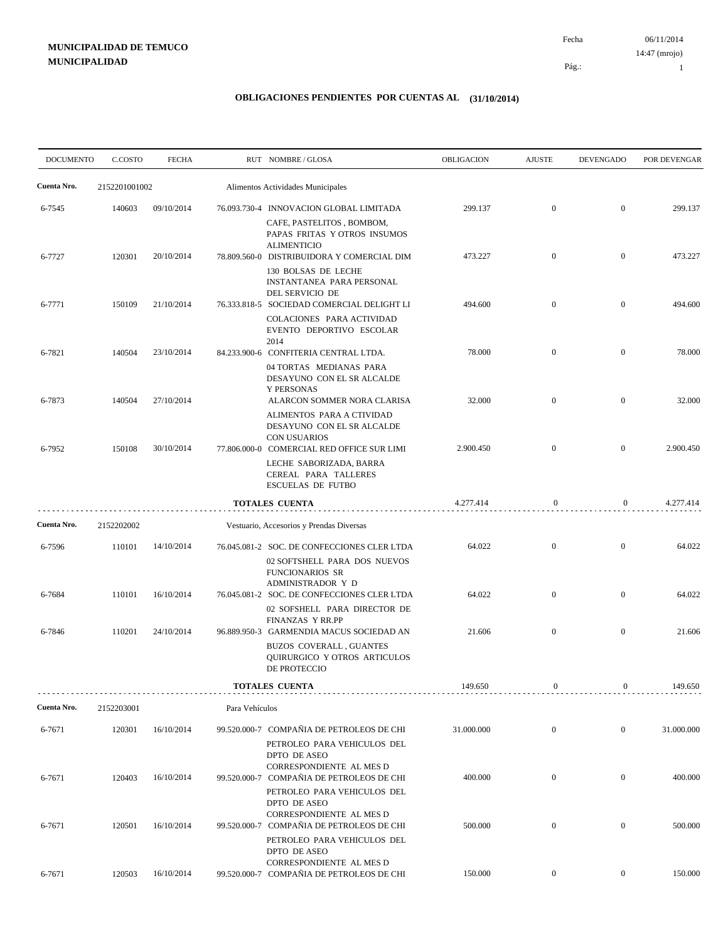06/11/2014 Fecha 14:47 (mrojo)

Pág.:

1

| <b>DOCUMENTO</b> | C.COSTO       | <b>FECHA</b> |                | RUT NOMBRE/GLOSA                                                                                                                                 | <b>OBLIGACION</b> | <b>AJUSTE</b>    | <b>DEVENGADO</b> | POR DEVENGAR |
|------------------|---------------|--------------|----------------|--------------------------------------------------------------------------------------------------------------------------------------------------|-------------------|------------------|------------------|--------------|
| Cuenta Nro.      | 2152201001002 |              |                | Alimentos Actividades Municipales                                                                                                                |                   |                  |                  |              |
| 6-7545           | 140603        | 09/10/2014   |                | 76.093.730-4 INNOVACION GLOBAL LIMITADA<br>CAFE, PASTELITOS, BOMBOM,<br>PAPAS FRITAS Y OTROS INSUMOS                                             | 299.137           | $\boldsymbol{0}$ | $\boldsymbol{0}$ | 299.137      |
| 6-7727           | 120301        | 20/10/2014   |                | <b>ALIMENTICIO</b><br>78.809.560-0 DISTRIBUIDORA Y COMERCIAL DIM<br>130 BOLSAS DE LECHE<br>INSTANTANEA PARA PERSONAL                             | 473.227           | $\boldsymbol{0}$ | $\overline{0}$   | 473.227      |
| 6-7771           | 150109        | 21/10/2014   |                | DEL SERVICIO DE<br>76.333.818-5 SOCIEDAD COMERCIAL DELIGHT LI<br>COLACIONES PARA ACTIVIDAD<br>EVENTO DEPORTIVO ESCOLAR                           | 494.600           | $\boldsymbol{0}$ | $\boldsymbol{0}$ | 494.600      |
| 6-7821           | 140504        | 23/10/2014   |                | 2014<br>84.233.900-6 CONFITERIA CENTRAL LTDA.<br>04 TORTAS MEDIANAS PARA<br>DESAYUNO CON EL SR ALCALDE                                           | 78.000            | $\boldsymbol{0}$ | $\boldsymbol{0}$ | 78.000       |
| 6-7873           | 140504        | 27/10/2014   |                | Y PERSONAS<br>ALARCON SOMMER NORA CLARISA<br>ALIMENTOS PARA A CTIVIDAD<br>DESAYUNO CON EL SR ALCALDE                                             | 32.000            | $\boldsymbol{0}$ | $\overline{0}$   | 32.000       |
| 6-7952           | 150108        | 30/10/2014   |                | <b>CON USUARIOS</b><br>77.806.000-0 COMERCIAL RED OFFICE SUR LIMI<br>LECHE SABORIZADA, BARRA<br>CEREAL PARA TALLERES<br><b>ESCUELAS DE FUTBO</b> | 2.900.450         | $\boldsymbol{0}$ | $\boldsymbol{0}$ | 2.900.450    |
|                  |               |              |                | TOTALES CUENTA                                                                                                                                   | 4.277.414         | $\bf{0}$         | $\overline{0}$   | 4.277.414    |
| Cuenta Nro.      | 2152202002    |              |                | Vestuario, Accesorios y Prendas Diversas                                                                                                         |                   |                  |                  |              |
| 6-7596           | 110101        | 14/10/2014   |                | 76.045.081-2 SOC. DE CONFECCIONES CLER LTDA<br>02 SOFTSHELL PARA DOS NUEVOS<br><b>FUNCIONARIOS SR</b>                                            | 64.022            | $\boldsymbol{0}$ | $\boldsymbol{0}$ | 64.022       |
| 6-7684           | 110101        | 16/10/2014   |                | ADMINISTRADOR Y D<br>76.045.081-2 SOC. DE CONFECCIONES CLER LTDA<br>02 SOFSHELL PARA DIRECTOR DE<br><b>FINANZAS Y RR.PP</b>                      | 64.022            | $\boldsymbol{0}$ | $\overline{0}$   | 64.022       |
| 6-7846           | 110201        | 24/10/2014   |                | 96.889.950-3 GARMENDIA MACUS SOCIEDAD AN<br>BUZOS COVERALL, GUANTES<br><b>OUIRURGICO Y OTROS ARTICULOS</b><br>DE PROTECCIO                       | 21.606            | $\boldsymbol{0}$ | $\boldsymbol{0}$ | 21.606       |
|                  |               |              |                | <b>TOTALES CUENTA</b>                                                                                                                            | 149.650           | $\boldsymbol{0}$ | $\mathbf{0}$     | 149.650      |
| Cuenta Nro.      | 2152203001    |              | Para Vehículos |                                                                                                                                                  |                   |                  |                  |              |
| 6-7671           | 120301        | 16/10/2014   |                | 99.520.000-7 COMPAÑIA DE PETROLEOS DE CHI<br>PETROLEO PARA VEHICULOS DEL<br>DPTO DE ASEO<br>CORRESPONDIENTE AL MES D                             | 31.000.000        | $\boldsymbol{0}$ | $\mathbf{0}$     | 31.000.000   |
| 6-7671           | 120403        | 16/10/2014   |                | 99.520.000-7 COMPAÑIA DE PETROLEOS DE CHI<br>PETROLEO PARA VEHICULOS DEL<br><b>DPTO DE ASEO</b>                                                  | 400.000           | $\boldsymbol{0}$ | $\mathbf{0}$     | 400.000      |
| 6-7671           | 120501        | 16/10/2014   |                | CORRESPONDIENTE AL MES D<br>99.520.000-7 COMPAÑIA DE PETROLEOS DE CHI<br>PETROLEO PARA VEHICULOS DEL<br>DPTO DE ASEO                             | 500.000           | $\boldsymbol{0}$ | $\mathbf{0}$     | 500.000      |
| 6-7671           | 120503        | 16/10/2014   |                | CORRESPONDIENTE AL MES D<br>99.520.000-7 COMPAÑIA DE PETROLEOS DE CHI                                                                            | 150.000           | $\boldsymbol{0}$ | $\overline{0}$   | 150.000      |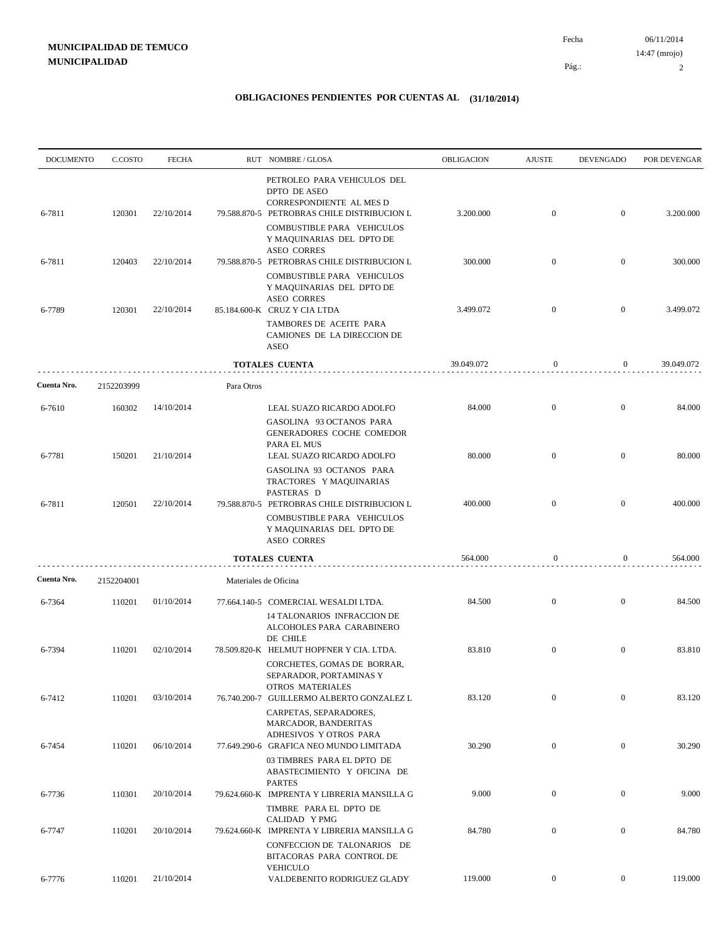| <b>DOCUMENTO</b> | C.COSTO    | <b>FECHA</b> |                       | RUT NOMBRE/GLOSA                                                                                                                                                                  | OBLIGACION | <b>AJUSTE</b>    | <b>DEVENGADO</b> | POR DEVENGAR |
|------------------|------------|--------------|-----------------------|-----------------------------------------------------------------------------------------------------------------------------------------------------------------------------------|------------|------------------|------------------|--------------|
| 6-7811           | 120301     | 22/10/2014   |                       | PETROLEO PARA VEHICULOS DEL<br>DPTO DE ASEO<br>CORRESPONDIENTE AL MES D<br>79.588.870-5 PETROBRAS CHILE DISTRIBUCION L<br>COMBUSTIBLE PARA VEHICULOS<br>Y MAQUINARIAS DEL DPTO DE | 3.200.000  | $\mathbf{0}$     | $\mathbf{0}$     | 3.200.000    |
| 6-7811           | 120403     | 22/10/2014   |                       | <b>ASEO CORRES</b><br>79.588.870-5 PETROBRAS CHILE DISTRIBUCION L                                                                                                                 | 300.000    | $\overline{0}$   | $\overline{0}$   | 300.000      |
|                  |            |              |                       | COMBUSTIBLE PARA VEHICULOS<br>Y MAQUINARIAS DEL DPTO DE<br><b>ASEO CORRES</b>                                                                                                     |            |                  |                  |              |
| 6-7789           | 120301     | 22/10/2014   |                       | 85.184.600-K CRUZ Y CIA LTDA<br>TAMBORES DE ACEITE PARA<br>CAMIONES DE LA DIRECCION DE<br><b>ASEO</b>                                                                             | 3.499.072  | $\mathbf{0}$     | $\mathbf{0}$     | 3.499.072    |
|                  |            |              |                       | TOTALES CUENTA                                                                                                                                                                    | 39.049.072 | $\mathbf{0}$     | $\overline{0}$   | 39.049.072   |
| Cuenta Nro.      | 2152203999 |              | Para Otros            |                                                                                                                                                                                   |            |                  |                  |              |
| 6-7610           | 160302     | 14/10/2014   |                       | LEAL SUAZO RICARDO ADOLFO<br>GASOLINA 93 OCTANOS PARA                                                                                                                             | 84.000     | $\overline{0}$   | $\mathbf{0}$     | 84.000       |
| 6-7781           | 150201     | 21/10/2014   |                       | GENERADORES COCHE COMEDOR<br>PARA EL MUS<br>LEAL SUAZO RICARDO ADOLFO                                                                                                             | 80.000     | $\overline{0}$   | $\mathbf{0}$     | 80.000       |
| 6-7811           | 120501     | 22/10/2014   |                       | GASOLINA 93 OCTANOS PARA<br>TRACTORES Y MAQUINARIAS<br>PASTERAS D<br>79.588.870-5 PETROBRAS CHILE DISTRIBUCION L                                                                  | 400.000    | $\overline{0}$   | $\mathbf{0}$     | 400.000      |
|                  |            |              |                       | COMBUSTIBLE PARA VEHICULOS<br>Y MAQUINARIAS DEL DPTO DE<br><b>ASEO CORRES</b>                                                                                                     |            |                  |                  |              |
|                  |            |              |                       | <b>TOTALES CUENTA</b>                                                                                                                                                             | 564.000    | $\mathbf{0}$     | $\boldsymbol{0}$ | 564.000      |
| Cuenta Nro.      | 2152204001 |              | Materiales de Oficina |                                                                                                                                                                                   |            |                  |                  |              |
| 6-7364           | 110201     | 01/10/2014   |                       | 77.664.140-5 COMERCIAL WESALDI LTDA.<br>14 TALONARIOS INFRACCION DE<br>ALCOHOLES PARA CARABINERO<br>DE CHILE                                                                      | 84.500     | $\mathbf{0}$     | $\mathbf{0}$     | 84.500       |
| 6-7394           | 110201     | 02/10/2014   |                       | 78.509.820-K HELMUT HOPFNER Y CIA. LTDA.<br>CORCHETES, GOMAS DE BORRAR,<br>SEPARADOR, PORTAMINAS Y                                                                                | 83.810     | $\overline{0}$   | $\overline{0}$   | 83.810       |
| 6-7412           | 110201     | 03/10/2014   |                       | OTROS MATERIALES<br>76.740.200-7 GUILLERMO ALBERTO GONZALEZ L<br>CARPETAS, SEPARADORES,                                                                                           | 83.120     | $\mathbf{0}$     | $\boldsymbol{0}$ | 83.120       |
| 6-7454           | 110201     | 06/10/2014   |                       | MARCADOR, BANDERITAS<br>ADHESIVOS Y OTROS PARA<br>77.649.290-6 GRAFICA NEO MUNDO LIMITADA                                                                                         | 30.290     | $\boldsymbol{0}$ | $\overline{0}$   | 30.290       |
|                  |            |              |                       | 03 TIMBRES PARA EL DPTO DE<br>ABASTECIMIENTO Y OFICINA DE<br><b>PARTES</b>                                                                                                        |            |                  |                  |              |
| 6-7736           | 110301     | 20/10/2014   |                       | 79.624.660-K IMPRENTA Y LIBRERIA MANSILLA G<br>TIMBRE PARA EL DPTO DE                                                                                                             | 9.000      | $\mathbf{0}$     | $\overline{0}$   | 9.000        |
| 6-7747           | 110201     | 20/10/2014   |                       | CALIDAD Y PMG<br>79.624.660-K IMPRENTA Y LIBRERIA MANSILLA G                                                                                                                      | 84.780     | $\boldsymbol{0}$ | $\overline{0}$   | 84.780       |
|                  |            |              |                       | CONFECCION DE TALONARIOS DE<br>BITACORAS PARA CONTROL DE<br><b>VEHICULO</b>                                                                                                       |            |                  |                  |              |
| 6-7776           | 110201     | 21/10/2014   |                       | VALDEBENITO RODRIGUEZ GLADY                                                                                                                                                       | 119.000    | $\overline{0}$   | $\overline{0}$   | 119.000      |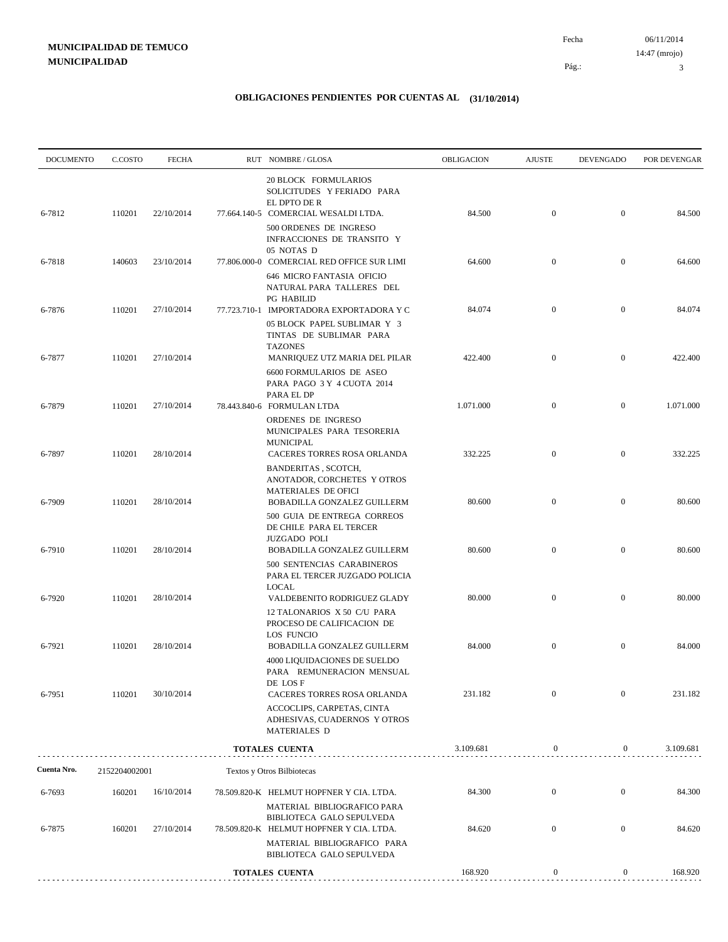| <b>DOCUMENTO</b> | C.COSTO       | <b>FECHA</b> | RUT NOMBRE/GLOSA                                                                                                                    | OBLIGACION | <b>AJUSTE</b>    | <b>DEVENGADO</b> | POR DEVENGAR |
|------------------|---------------|--------------|-------------------------------------------------------------------------------------------------------------------------------------|------------|------------------|------------------|--------------|
| 6-7812           | 110201        | 22/10/2014   | 20 BLOCK FORMULARIOS<br>SOLICITUDES Y FERIADO PARA<br>EL DPTO DE R<br>77.664.140-5 COMERCIAL WESALDI LTDA.                          | 84.500     | $\boldsymbol{0}$ | $\mathbf{0}$     | 84.500       |
|                  |               |              | 500 ORDENES DE INGRESO<br>INFRACCIONES DE TRANSITO Y<br>05 NOTAS D                                                                  |            |                  |                  |              |
| 6-7818           | 140603        | 23/10/2014   | 77.806.000-0 COMERCIAL RED OFFICE SUR LIMI<br>646 MICRO FANTASIA OFICIO<br>NATURAL PARA TALLERES DEL                                | 64.600     | $\mathbf{0}$     | $\mathbf{0}$     | 64.600       |
| 6-7876           | 110201        | 27/10/2014   | <b>PG HABILID</b><br>77.723.710-1 IMPORTADORA EXPORTADORA Y C<br>05 BLOCK PAPEL SUBLIMAR Y 3<br>TINTAS DE SUBLIMAR PARA             | 84.074     | $\mathbf{0}$     | $\overline{0}$   | 84.074       |
| 6-7877           | 110201        | 27/10/2014   | <b>TAZONES</b><br>MANRIQUEZ UTZ MARIA DEL PILAR<br>6600 FORMULARIOS DE ASEO<br>PARA PAGO 3 Y 4 CUOTA 2014                           | 422.400    | $\boldsymbol{0}$ | $\mathbf{0}$     | 422.400      |
| 6-7879           | 110201        | 27/10/2014   | PARA EL DP<br>78.443.840-6 FORMULAN LTDA                                                                                            | 1.071.000  | $\boldsymbol{0}$ | $\mathbf{0}$     | 1.071.000    |
| 6-7897           | 110201        | 28/10/2014   | ORDENES DE INGRESO<br>MUNICIPALES PARA TESORERIA<br><b>MUNICIPAL</b><br>CACERES TORRES ROSA ORLANDA                                 | 332.225    | $\boldsymbol{0}$ | $\mathbf{0}$     | 332.225      |
| 6-7909           | 110201        | 28/10/2014   | BANDERITAS, SCOTCH,<br>ANOTADOR, CORCHETES Y OTROS<br>MATERIALES DE OFICI<br>BOBADILLA GONZALEZ GUILLERM                            | 80.600     | $\mathbf{0}$     | $\mathbf{0}$     | 80.600       |
|                  | 110201        | 28/10/2014   | 500 GUIA DE ENTREGA CORREOS<br>DE CHILE PARA EL TERCER<br><b>JUZGADO POLI</b>                                                       | 80.600     | $\boldsymbol{0}$ | $\mathbf{0}$     | 80.600       |
| 6-7910           |               |              | BOBADILLA GONZALEZ GUILLERM<br>500 SENTENCIAS CARABINEROS<br>PARA EL TERCER JUZGADO POLICIA<br>LOCAL                                |            |                  |                  |              |
| 6-7920           | 110201        | 28/10/2014   | VALDEBENITO RODRIGUEZ GLADY<br>12 TALONARIOS X 50 C/U PARA<br>PROCESO DE CALIFICACION DE                                            | 80.000     | $\overline{0}$   | $\mathbf{0}$     | 80.000       |
| 6-7921           | 110201        | 28/10/2014   | LOS FUNCIO<br><b>BOBADILLA GONZALEZ GUILLERM</b><br>4000 LIQUIDACIONES DE SUELDO<br>PARA REMUNERACION MENSUAL                       | 84.000     | $\boldsymbol{0}$ | $\mathbf{0}$     | 84.000       |
| 6-7951           | 110201        | 30/10/2014   | DE LOS F<br>CACERES TORRES ROSA ORLANDA<br>ACCOCLIPS, CARPETAS, CINTA<br>ADHESIVAS, CUADERNOS Y OTROS<br><b>MATERIALES D</b>        | 231.182    | $\mathbf{0}$     | $\mathbf{0}$     | 231.182      |
|                  |               |              | <b>TOTALES CUENTA</b>                                                                                                               | 3.109.681  | $\boldsymbol{0}$ | $\boldsymbol{0}$ | 3.109.681    |
| Cuenta Nro.      | 2152204002001 |              | Textos y Otros Bilbiotecas                                                                                                          |            |                  |                  |              |
| 6-7693           | 160201        | 16/10/2014   | 78.509.820-K HELMUT HOPFNER Y CIA. LTDA.                                                                                            | 84.300     | $\boldsymbol{0}$ | $\mathbf{0}$     | 84.300       |
| 6-7875           | 160201        | 27/10/2014   | MATERIAL BIBLIOGRAFICO PARA<br>BIBLIOTECA GALO SEPULVEDA<br>78.509.820-K HELMUT HOPFNER Y CIA. LTDA.<br>MATERIAL BIBLIOGRAFICO PARA | 84.620     | $\mathbf{0}$     | $\mathbf{0}$     | 84.620       |
|                  |               |              | BIBLIOTECA GALO SEPULVEDA                                                                                                           |            |                  |                  |              |
|                  |               |              | <b>TOTALES CUENTA</b>                                                                                                               | 168.920    | $\boldsymbol{0}$ | $\boldsymbol{0}$ | 168.920      |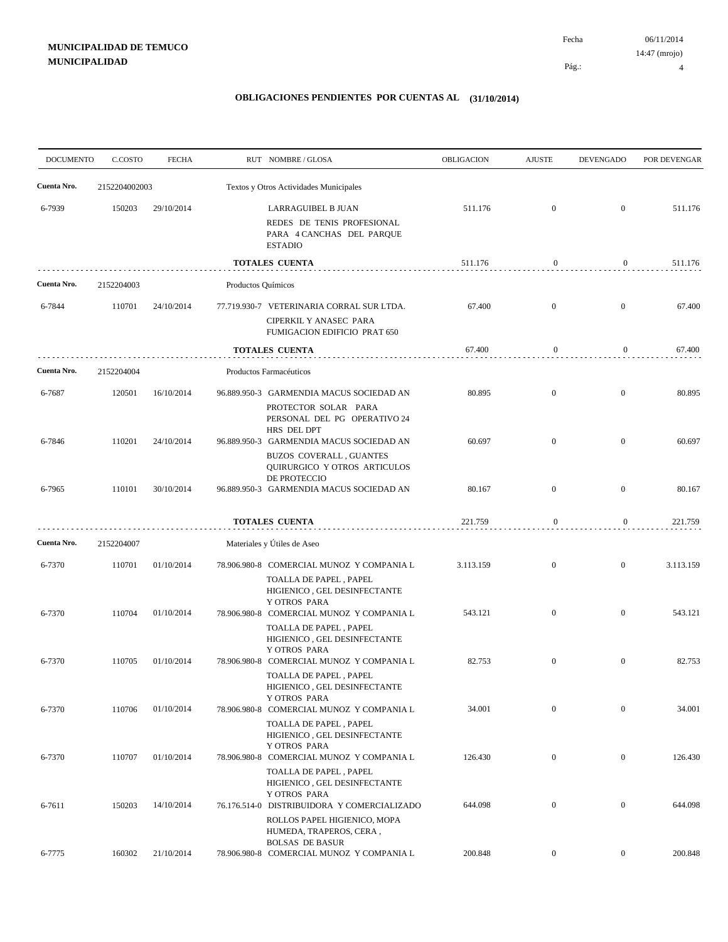06/11/2014 4 Pág.: Fecha 14:47 (mrojo)

| <b>DOCUMENTO</b> | C.COSTO    | <b>FECHA</b>  |                    | RUT NOMBRE/GLOSA                                                                                                           | <b>OBLIGACION</b> | <b>AJUSTE</b>    | <b>DEVENGADO</b> | POR DEVENGAR |
|------------------|------------|---------------|--------------------|----------------------------------------------------------------------------------------------------------------------------|-------------------|------------------|------------------|--------------|
| Cuenta Nro.      |            | 2152204002003 |                    | Textos y Otros Actividades Municipales                                                                                     |                   |                  |                  |              |
| 6-7939           | 150203     | 29/10/2014    |                    | LARRAGUIBEL B JUAN<br>REDES DE TENIS PROFESIONAL<br>PARA 4 CANCHAS DEL PARQUE<br><b>ESTADIO</b>                            | 511.176           | $\mathbf{0}$     | $\overline{0}$   | 511.176      |
|                  |            |               |                    | <b>TOTALES CUENTA</b>                                                                                                      | 511.176           | $\bf{0}$         | $\overline{0}$   | 511.176      |
| Cuenta Nro.      | 2152204003 |               | Productos Químicos |                                                                                                                            |                   |                  |                  |              |
| 6-7844           | 110701     | 24/10/2014    |                    | 77.719.930-7 VETERINARIA CORRAL SUR LTDA.<br>CIPERKIL Y ANASEC PARA<br>FUMIGACION EDIFICIO PRAT 650                        | 67.400            | $\overline{0}$   | $\overline{0}$   | 67.400       |
|                  |            |               |                    | TOTALES CUENTA                                                                                                             | 67.400            | $\bf{0}$         | $\mathbf{0}$     | 67.400       |
| Cuenta Nro.      | 2152204004 |               |                    | Productos Farmacéuticos                                                                                                    |                   |                  |                  |              |
| 6-7687           | 120501     | 16/10/2014    |                    | 96.889.950-3 GARMENDIA MACUS SOCIEDAD AN<br>PROTECTOR SOLAR PARA<br>PERSONAL DEL PG OPERATIVO 24<br>HRS DEL DPT            | 80.895            | $\mathbf{0}$     | $\overline{0}$   | 80.895       |
| 6-7846           | 110201     | 24/10/2014    |                    | 96.889.950-3 GARMENDIA MACUS SOCIEDAD AN<br>BUZOS COVERALL, GUANTES<br><b>OUIRURGICO Y OTROS ARTICULOS</b><br>DE PROTECCIO | 60.697            | $\overline{0}$   | $\overline{0}$   | 60.697       |
| 6-7965           | 110101     | 30/10/2014    |                    | 96.889.950-3 GARMENDIA MACUS SOCIEDAD AN                                                                                   | 80.167            | $\overline{0}$   | $\boldsymbol{0}$ | 80.167       |
|                  |            |               |                    | <b>TOTALES CUENTA</b>                                                                                                      | 221.759           | $\boldsymbol{0}$ | $\overline{0}$   | 221.759      |
| Cuenta Nro.      | 2152204007 |               |                    | Materiales y Útiles de Aseo                                                                                                |                   |                  |                  |              |
| 6-7370           | 110701     | 01/10/2014    |                    | 78.906.980-8 COMERCIAL MUNOZ Y COMPANIA L<br>TOALLA DE PAPEL, PAPEL<br>HIGIENICO, GEL DESINFECTANTE                        | 3.113.159         | $\overline{0}$   | $\overline{0}$   | 3.113.159    |
| 6-7370           | 110704     | 01/10/2014    |                    | Y OTROS PARA<br>78.906.980-8 COMERCIAL MUNOZ Y COMPANIA L<br>TOALLA DE PAPEL, PAPEL<br>HIGIENICO, GEL DESINFECTANTE        | 543.121           | $\overline{0}$   | $\overline{0}$   | 543.121      |
| 6-7370           | 110705     | 01/10/2014    |                    | Y OTROS PARA<br>78.906.980-8 COMERCIAL MUNOZ Y COMPANIA L<br>TOALLA DE PAPEL, PAPEL<br>HIGIENICO, GEL DESINFECTANTE        | 82.753            | $\overline{0}$   | $\boldsymbol{0}$ | 82.753       |
| 6-7370           | 110706     | 01/10/2014    |                    | Y OTROS PARA<br>78.906.980-8 COMERCIAL MUNOZ Y COMPANIA L<br>TOALLA DE PAPEL, PAPEL                                        | 34.001            | $\mathbf{0}$     | $\mathbf{0}$     | 34.001       |
| 6-7370           | 110707     | 01/10/2014    |                    | HIGIENICO, GEL DESINFECTANTE<br>Y OTROS PARA<br>78.906.980-8 COMERCIAL MUNOZ Y COMPANIA L                                  | 126.430           | $\boldsymbol{0}$ | $\overline{0}$   | 126.430      |
| 6-7611           | 150203     | 14/10/2014    |                    | TOALLA DE PAPEL, PAPEL<br>HIGIENICO, GEL DESINFECTANTE<br>Y OTROS PARA<br>76.176.514-0 DISTRIBUIDORA Y COMERCIALIZADO      | 644.098           | $\boldsymbol{0}$ | $\overline{0}$   | 644.098      |
|                  |            |               |                    | ROLLOS PAPEL HIGIENICO, MOPA<br>HUMEDA, TRAPEROS, CERA,<br><b>BOLSAS DE BASUR</b>                                          |                   |                  |                  |              |
| 6-7775           | 160302     | 21/10/2014    |                    | 78.906.980-8 COMERCIAL MUNOZ Y COMPANIA L                                                                                  | 200.848           | $\boldsymbol{0}$ | $\overline{0}$   | 200.848      |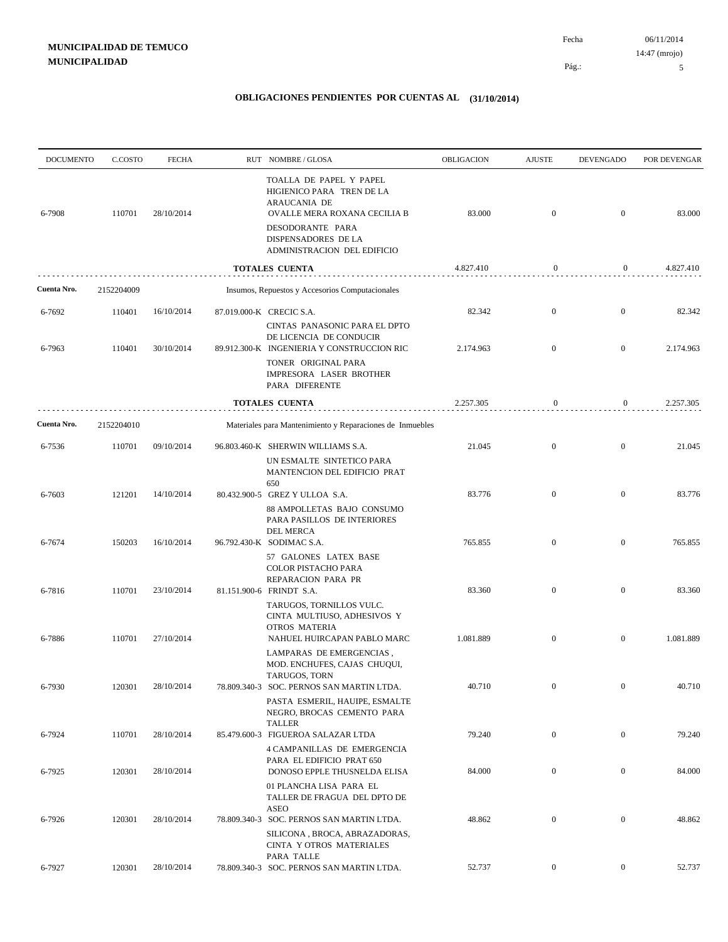| <b>DOCUMENTO</b> | C.COSTO    | <b>FECHA</b> | RUT NOMBRE/GLOSA                                                                                       | OBLIGACION | <b>AJUSTE</b>    | <b>DEVENGADO</b> | POR DEVENGAR |
|------------------|------------|--------------|--------------------------------------------------------------------------------------------------------|------------|------------------|------------------|--------------|
| 6-7908           | 110701     | 28/10/2014   | TOALLA DE PAPEL Y PAPEL<br>HIGIENICO PARA TREN DE LA<br>ARAUCANIA DE<br>OVALLE MERA ROXANA CECILIA B   | 83.000     | $\mathbf{0}$     | $\boldsymbol{0}$ | 83.000       |
|                  |            |              | DESODORANTE PARA<br>DISPENSADORES DE LA<br>ADMINISTRACION DEL EDIFICIO                                 |            |                  |                  |              |
|                  |            |              | <b>TOTALES CUENTA</b>                                                                                  | 4.827.410  | $\boldsymbol{0}$ | $\overline{0}$   | 4.827.410    |
| Cuenta Nro.      | 2152204009 |              | Insumos, Repuestos y Accesorios Computacionales                                                        |            |                  |                  |              |
| 6-7692           | 110401     | 16/10/2014   | 87.019.000-K CRECIC S.A.                                                                               | 82.342     | $\mathbf{0}$     | $\boldsymbol{0}$ | 82.342       |
| 6-7963           | 110401     | 30/10/2014   | CINTAS PANASONIC PARA EL DPTO<br>DE LICENCIA DE CONDUCIR<br>89.912.300-K INGENIERIA Y CONSTRUCCION RIC | 2.174.963  | $\mathbf{0}$     | $\boldsymbol{0}$ | 2.174.963    |
|                  |            |              | TONER ORIGINAL PARA<br>IMPRESORA LASER BROTHER<br>PARA DIFERENTE                                       |            |                  |                  |              |
|                  |            |              | <b>TOTALES CUENTA</b>                                                                                  | 2.257.305  | $\mathbf{0}$     | $\boldsymbol{0}$ | 2.257.305    |
| Cuenta Nro.      | 2152204010 |              | Materiales para Mantenimiento y Reparaciones de Inmuebles                                              |            |                  |                  |              |
| 6-7536           | 110701     | 09/10/2014   | 96.803.460-K SHERWIN WILLIAMS S.A.<br>UN ESMALTE SINTETICO PARA<br>MANTENCION DEL EDIFICIO PRAT        | 21.045     | $\mathbf{0}$     | $\boldsymbol{0}$ | 21.045       |
| 6-7603           | 121201     | 14/10/2014   | 650<br>80.432.900-5 GREZ Y ULLOA S.A.                                                                  | 83.776     | $\mathbf{0}$     | $\overline{0}$   | 83.776       |
|                  |            |              | 88 AMPOLLETAS BAJO CONSUMO<br>PARA PASILLOS DE INTERIORES<br>DEL MERCA                                 |            |                  |                  |              |
| 6-7674           | 150203     | 16/10/2014   | 96.792.430-K SODIMAC S.A.                                                                              | 765.855    | $\mathbf{0}$     | $\mathbf{0}$     | 765.855      |
|                  |            |              | 57 GALONES LATEX BASE<br>COLOR PISTACHO PARA<br>REPARACION PARA PR                                     | 83.360     | $\mathbf{0}$     | $\mathbf{0}$     | 83.360       |
| 6-7816           | 110701     | 23/10/2014   | 81.151.900-6 FRINDT S.A.<br>TARUGOS, TORNILLOS VULC.<br>CINTA MULTIUSO, ADHESIVOS Y                    |            |                  |                  |              |
| 6-7886           | 110701     | 27/10/2014   | <b>OTROS MATERIA</b><br>NAHUEL HUIRCAPAN PABLO MARC                                                    | 1.081.889  | $\mathbf{0}$     | $\mathbf{0}$     | 1.081.889    |
|                  |            |              | LAMPARAS DE EMERGENCIAS,<br>MOD. ENCHUFES, CAJAS CHUQUI,<br>TARUGOS, TORN                              |            |                  |                  |              |
| 6-7930           | 120301     | 28/10/2014   | 78.809.340-3 SOC. PERNOS SAN MARTIN LTDA.                                                              | 40.710     | $\boldsymbol{0}$ | $\overline{0}$   | 40.710       |
|                  |            |              | PASTA ESMERIL, HAUIPE, ESMALTE<br>NEGRO, BROCAS CEMENTO PARA<br><b>TALLER</b>                          |            |                  |                  |              |
| 6-7924           | 110701     | 28/10/2014   | 85.479.600-3 FIGUEROA SALAZAR LTDA                                                                     | 79.240     | $\boldsymbol{0}$ | $\overline{0}$   | 79.240       |
| 6-7925           | 120301     | 28/10/2014   | 4 CAMPANILLAS DE EMERGENCIA<br>PARA EL EDIFICIO PRAT 650<br>DONOSO EPPLE THUSNELDA ELISA               | 84.000     | $\boldsymbol{0}$ | $\boldsymbol{0}$ | 84.000       |
|                  |            |              | 01 PLANCHA LISA PARA EL<br>TALLER DE FRAGUA DEL DPTO DE<br><b>ASEO</b>                                 |            |                  |                  |              |
| 6-7926           | 120301     | 28/10/2014   | 78.809.340-3 SOC. PERNOS SAN MARTIN LTDA.                                                              | 48.862     | $\boldsymbol{0}$ | $\overline{0}$   | 48.862       |
|                  |            |              | SILICONA, BROCA, ABRAZADORAS,<br>CINTA Y OTROS MATERIALES<br>PARA TALLE                                |            |                  |                  |              |
| 6-7927           | 120301     | 28/10/2014   | 78.809.340-3 SOC. PERNOS SAN MARTIN LTDA.                                                              | 52.737     | $\boldsymbol{0}$ | $\overline{0}$   | 52.737       |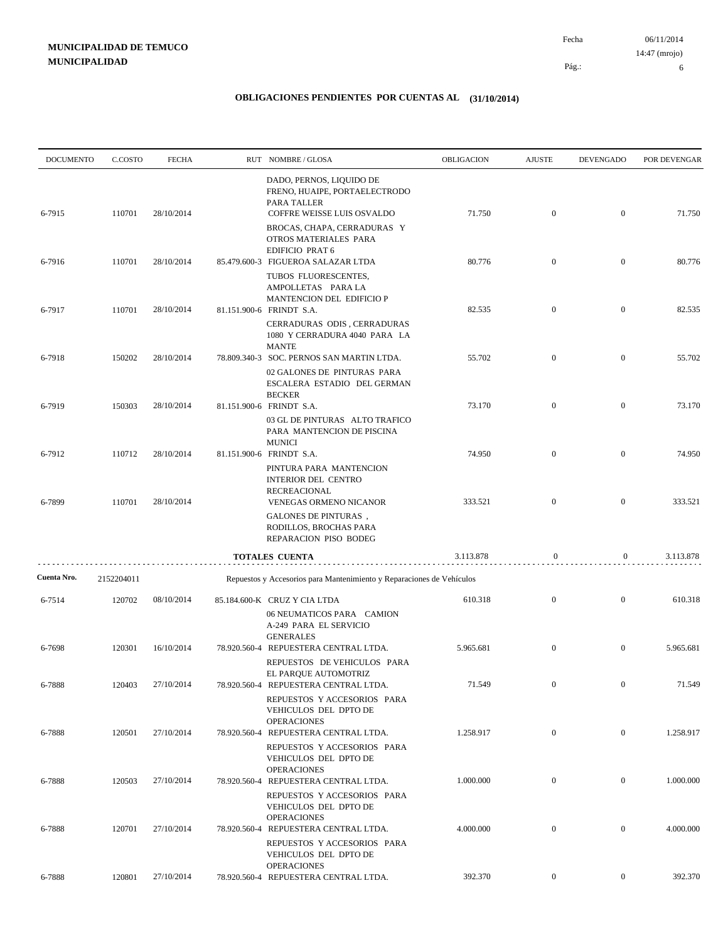06/11/2014 6 Pág.: Fecha 14:47 (mrojo)

| <b>DOCUMENTO</b> | C.COSTO    | <b>FECHA</b> | RUT NOMBRE/GLOSA                                                                                                      | OBLIGACION | <b>AJUSTE</b>  | <b>DEVENGADO</b> | POR DEVENGAR |
|------------------|------------|--------------|-----------------------------------------------------------------------------------------------------------------------|------------|----------------|------------------|--------------|
| 6-7915           | 110701     | 28/10/2014   | DADO, PERNOS, LIQUIDO DE<br>FRENO, HUAIPE, PORTAELECTRODO<br>PARA TALLER<br>COFFRE WEISSE LUIS OSVALDO                | 71.750     | $\mathbf{0}$   | $\overline{0}$   | 71.750       |
|                  |            |              | BROCAS, CHAPA, CERRADURAS Y<br>OTROS MATERIALES PARA<br><b>EDIFICIO PRAT 6</b>                                        |            |                |                  |              |
| 6-7916           | 110701     | 28/10/2014   | 85.479.600-3 FIGUEROA SALAZAR LTDA<br>TUBOS FLUORESCENTES,                                                            | 80.776     | $\mathbf{0}$   | $\mathbf{0}$     | 80.776       |
| 6-7917           | 110701     | 28/10/2014   | AMPOLLETAS PARA LA<br>MANTENCION DEL EDIFICIO P<br>81.151.900-6 FRINDT S.A.                                           | 82.535     | $\overline{0}$ | $\overline{0}$   | 82.535       |
|                  |            |              | CERRADURAS ODIS, CERRADURAS<br>1080 Y CERRADURA 4040 PARA LA<br><b>MANTE</b>                                          |            |                |                  |              |
| 6-7918           | 150202     | 28/10/2014   | 78.809.340-3 SOC. PERNOS SAN MARTIN LTDA.<br>02 GALONES DE PINTURAS PARA<br>ESCALERA ESTADIO DEL GERMAN               | 55.702     | $\mathbf{0}$   | $\mathbf{0}$     | 55.702       |
| 6-7919           | 150303     | 28/10/2014   | <b>BECKER</b><br>81.151.900-6 FRINDT S.A.                                                                             | 73.170     | $\mathbf{0}$   | $\mathbf{0}$     | 73.170       |
|                  |            |              | 03 GL DE PINTURAS ALTO TRAFICO<br>PARA MANTENCION DE PISCINA<br><b>MUNICI</b>                                         |            |                |                  |              |
| 6-7912           | 110712     | 28/10/2014   | 81.151.900-6 FRINDT S.A.<br>PINTURA PARA MANTENCION<br><b>INTERIOR DEL CENTRO</b><br><b>RECREACIONAL</b>              | 74.950     | $\mathbf{0}$   | $\mathbf{0}$     | 74.950       |
| 6-7899           | 110701     | 28/10/2014   | VENEGAS ORMENO NICANOR<br><b>GALONES DE PINTURAS</b> ,<br>RODILLOS, BROCHAS PARA<br>REPARACION PISO BODEG             | 333.521    | $\overline{0}$ | $\mathbf{0}$     | 333.521      |
|                  |            |              | <b>TOTALES CUENTA</b>                                                                                                 | 3.113.878  | $\bf{0}$       | $\boldsymbol{0}$ | 3.113.878    |
| Cuenta Nro.      | 2152204011 |              | Repuestos y Accesorios para Mantenimiento y Reparaciones de Vehículos                                                 |            |                |                  |              |
| 6-7514           | 120702     | 08/10/2014   | 85.184.600-K CRUZ Y CIA LTDA<br>06 NEUMATICOS PARA CAMION<br>A-249 PARA EL SERVICIO<br><b>GENERALES</b>               | 610.318    | $\mathbf{0}$   | $\mathbf{0}$     | 610.318      |
| 6-7698           | 120301     | 16/10/2014   | 78.920.560-4 REPUESTERA CENTRAL LTDA.<br>REPUESTOS DE VEHICULOS PARA                                                  | 5.965.681  | $\mathbf{0}$   | $\mathbf{0}$     | 5.965.681    |
| 6-7888           | 120403     | 27/10/2014   | EL PARQUE AUTOMOTRIZ<br>78.920.560-4 REPUESTERA CENTRAL LTDA.<br>REPUESTOS Y ACCESORIOS PARA<br>VEHICULOS DEL DPTO DE | 71.549     | $\theta$       | $\theta$         | 71.549       |
| 6-7888           | 120501     | 27/10/2014   | <b>OPERACIONES</b><br>78.920.560-4 REPUESTERA CENTRAL LTDA.<br>REPUESTOS Y ACCESORIOS PARA                            | 1.258.917  | $\mathbf{0}$   | $\overline{0}$   | 1.258.917    |
| 6-7888           | 120503     | 27/10/2014   | VEHICULOS DEL DPTO DE<br><b>OPERACIONES</b><br>78.920.560-4 REPUESTERA CENTRAL LTDA.                                  | 1.000.000  | $\mathbf{0}$   | $\boldsymbol{0}$ | 1.000.000    |
|                  |            |              | REPUESTOS Y ACCESORIOS PARA<br>VEHICULOS DEL DPTO DE<br><b>OPERACIONES</b>                                            |            |                |                  |              |
| 6-7888           | 120701     | 27/10/2014   | 78.920.560-4 REPUESTERA CENTRAL LTDA.<br>REPUESTOS Y ACCESORIOS PARA<br>VEHICULOS DEL DPTO DE                         | 4.000.000  | $\mathbf{0}$   | $\mathbf{0}$     | 4.000.000    |
| 6-7888           | 120801     | 27/10/2014   | <b>OPERACIONES</b><br>78.920.560-4 REPUESTERA CENTRAL LTDA.                                                           | 392.370    | $\overline{0}$ | $\overline{0}$   | 392.370      |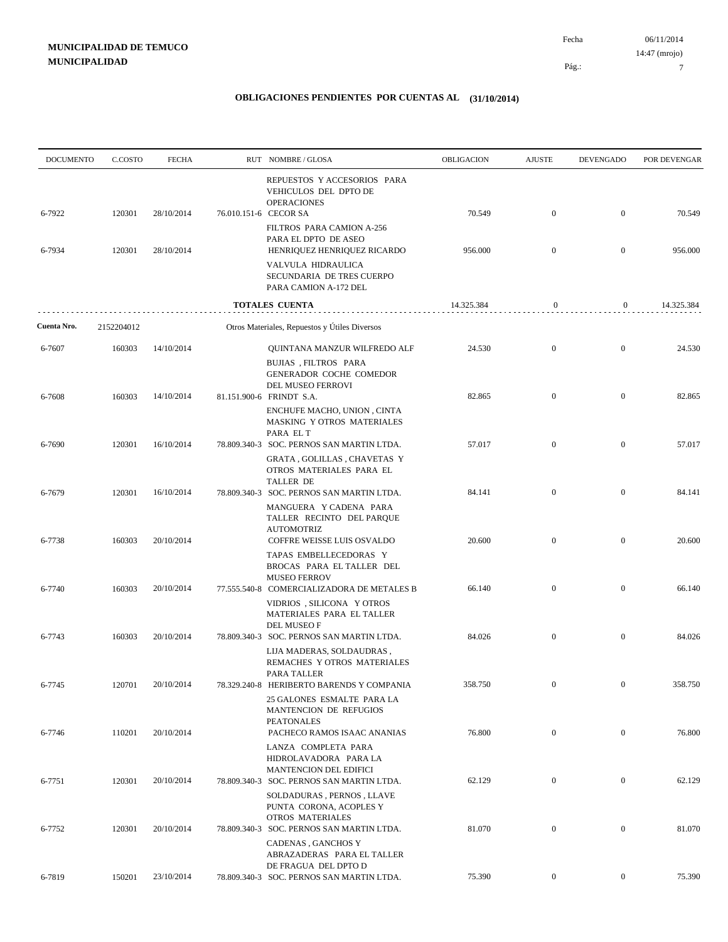| <b>DOCUMENTO</b> | C.COSTO    | <b>FECHA</b> |                       | RUT NOMBRE/GLOSA                                                                                                      | OBLIGACION | <b>AJUSTE</b>    | <b>DEVENGADO</b> | POR DEVENGAR |
|------------------|------------|--------------|-----------------------|-----------------------------------------------------------------------------------------------------------------------|------------|------------------|------------------|--------------|
| 6-7922           | 120301     | 28/10/2014   | 76.010.151-6 CECOR SA | REPUESTOS Y ACCESORIOS PARA<br>VEHICULOS DEL DPTO DE<br><b>OPERACIONES</b>                                            | 70.549     | $\boldsymbol{0}$ | $\overline{0}$   | 70.549       |
| 6-7934           | 120301     | 28/10/2014   |                       | FILTROS PARA CAMION A-256<br>PARA EL DPTO DE ASEO<br>HENRIQUEZ HENRIQUEZ RICARDO                                      | 956.000    | $\boldsymbol{0}$ | $\boldsymbol{0}$ | 956.000      |
|                  |            |              |                       | VALVULA HIDRAULICA<br>SECUNDARIA DE TRES CUERPO<br>PARA CAMION A-172 DEL                                              |            |                  |                  |              |
|                  |            |              |                       | <b>TOTALES CUENTA</b>                                                                                                 | 14.325.384 | $\boldsymbol{0}$ | $\bf{0}$         | 14.325.384   |
| Cuenta Nro.      | 2152204012 |              |                       | Otros Materiales, Repuestos y Útiles Diversos                                                                         |            |                  |                  |              |
| 6-7607           | 160303     | 14/10/2014   |                       | QUINTANA MANZUR WILFREDO ALF                                                                                          | 24.530     | $\bf{0}$         | $\boldsymbol{0}$ | 24.530       |
| 6-7608           | 160303     | 14/10/2014   |                       | BUJIAS , FILTROS PARA<br>GENERADOR COCHE COMEDOR<br>DEL MUSEO FERROVI<br>81.151.900-6 FRINDT S.A.                     | 82.865     | $\mathbf{0}$     | $\boldsymbol{0}$ | 82.865       |
|                  |            |              |                       | ENCHUFE MACHO, UNION, CINTA<br>MASKING Y OTROS MATERIALES                                                             |            |                  |                  |              |
| 6-7690           | 120301     | 16/10/2014   |                       | PARA EL T<br>78.809.340-3 SOC. PERNOS SAN MARTIN LTDA.                                                                | 57.017     | $\boldsymbol{0}$ | $\boldsymbol{0}$ | 57.017       |
|                  |            |              |                       | <b>GRATA, GOLILLAS, CHAVETAS Y</b><br>OTROS MATERIALES PARA EL<br><b>TALLER DE</b>                                    |            |                  |                  |              |
| 6-7679           | 120301     | 16/10/2014   |                       | 78.809.340-3 SOC. PERNOS SAN MARTIN LTDA.<br>MANGUERA Y CADENA PARA<br>TALLER RECINTO DEL PARQUE<br><b>AUTOMOTRIZ</b> | 84.141     | $\boldsymbol{0}$ | $\boldsymbol{0}$ | 84.141       |
| 6-7738           | 160303     | 20/10/2014   |                       | COFFRE WEISSE LUIS OSVALDO                                                                                            | 20.600     | $\boldsymbol{0}$ | $\boldsymbol{0}$ | 20.600       |
|                  |            |              |                       | TAPAS EMBELLECEDORAS Y<br>BROCAS PARA EL TALLER DEL<br><b>MUSEO FERROV</b>                                            |            |                  |                  |              |
| 6-7740           | 160303     | 20/10/2014   |                       | 77.555.540-8 COMERCIALIZADORA DE METALES B<br>VIDRIOS, SILICONA Y OTROS<br>MATERIALES PARA EL TALLER                  | 66.140     | $\boldsymbol{0}$ | $\boldsymbol{0}$ | 66.140       |
| 6-7743           | 160303     | 20/10/2014   |                       | DEL MUSEO F<br>78.809.340-3 SOC. PERNOS SAN MARTIN LTDA.                                                              | 84.026     | $\boldsymbol{0}$ | $\boldsymbol{0}$ | 84.026       |
|                  |            |              |                       | LIJA MADERAS, SOLDAUDRAS,<br>REMACHES Y OTROS MATERIALES<br>PARA TALLER                                               |            |                  |                  |              |
| 6-7745           | 120701     | 20/10/2014   |                       | 78.329.240-8 HERIBERTO BARENDS Y COMPANIA                                                                             | 358.750    |                  |                  | 358.750      |
| 6-7746           | 110201     | 20/10/2014   |                       | 25 GALONES ESMALTE PARA LA<br>MANTENCION DE REFUGIOS<br>PEATONALES<br>PACHECO RAMOS ISAAC ANANIAS                     | 76.800     | $\boldsymbol{0}$ | $\mathbf{0}$     | 76.800       |
|                  |            | 20/10/2014   |                       | LANZA COMPLETA PARA<br>HIDROLAVADORA PARA LA<br>MANTENCION DEL EDIFICI<br>78.809.340-3 SOC. PERNOS SAN MARTIN LTDA.   | 62.129     | $\mathbf{0}$     | $\boldsymbol{0}$ | 62.129       |
| 6-7751           | 120301     |              |                       | SOLDADURAS, PERNOS, LLAVE<br>PUNTA CORONA, ACOPLES Y<br><b>OTROS MATERIALES</b>                                       |            |                  |                  |              |
| 6-7752           | 120301     | 20/10/2014   |                       | 78.809.340-3 SOC. PERNOS SAN MARTIN LTDA.<br>CADENAS, GANCHOS Y<br>ABRAZADERAS PARA EL TALLER                         | 81.070     | $\boldsymbol{0}$ | $\boldsymbol{0}$ | 81.070       |
| 6-7819           | 150201     | 23/10/2014   |                       | DE FRAGUA DEL DPTO D<br>78.809.340-3 SOC. PERNOS SAN MARTIN LTDA.                                                     | 75.390     | $\boldsymbol{0}$ | $\overline{0}$   | 75.390       |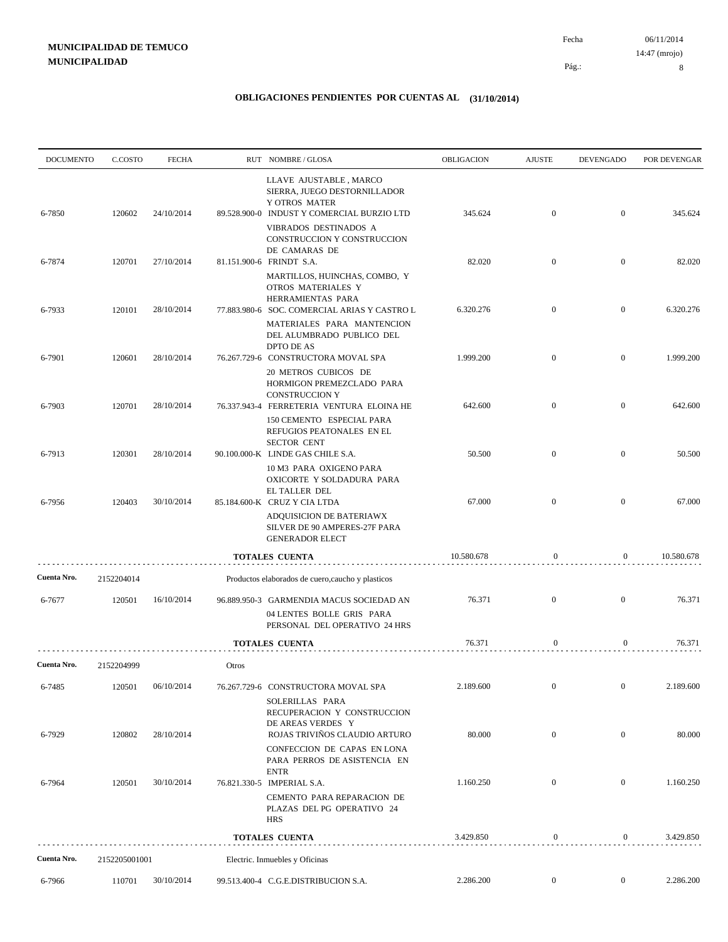| <b>DOCUMENTO</b> | C.COSTO       | <b>FECHA</b> |       | RUT NOMBRE/GLOSA                                                                                                                               | OBLIGACION | <b>AJUSTE</b>    | DEVENGADO        | POR DEVENGAR |
|------------------|---------------|--------------|-------|------------------------------------------------------------------------------------------------------------------------------------------------|------------|------------------|------------------|--------------|
| 6-7850           | 120602        | 24/10/2014   |       | LLAVE AJUSTABLE, MARCO<br>SIERRA, JUEGO DESTORNILLADOR<br>Y OTROS MATER<br>89.528.900-0 INDUST Y COMERCIAL BURZIO LTD<br>VIBRADOS DESTINADOS A | 345.624    | $\boldsymbol{0}$ | $\mathbf{0}$     | 345.624      |
|                  |               |              |       | CONSTRUCCION Y CONSTRUCCION<br>DE CAMARAS DE                                                                                                   |            |                  |                  |              |
| 6-7874           | 120701        | 27/10/2014   |       | 81.151.900-6 FRINDT S.A.<br>MARTILLOS, HUINCHAS, COMBO, Y<br>OTROS MATERIALES Y                                                                | 82.020     | $\boldsymbol{0}$ | $\overline{0}$   | 82.020       |
| 6-7933           | 120101        | 28/10/2014   |       | HERRAMIENTAS PARA<br>77.883.980-6 SOC. COMERCIAL ARIAS Y CASTRO L                                                                              | 6.320.276  | $\boldsymbol{0}$ | $\mathbf{0}$     | 6.320.276    |
|                  |               |              |       | MATERIALES PARA MANTENCION<br>DEL ALUMBRADO PUBLICO DEL<br>DPTO DE AS                                                                          |            |                  |                  |              |
| 6-7901           | 120601        | 28/10/2014   |       | 76.267.729-6 CONSTRUCTORA MOVAL SPA<br>20 METROS CUBICOS DE<br>HORMIGON PREMEZCLADO PARA                                                       | 1.999.200  | $\mathbf{0}$     | $\overline{0}$   | 1.999.200    |
| 6-7903           | 120701        | 28/10/2014   |       | <b>CONSTRUCCION Y</b><br>76.337.943-4 FERRETERIA VENTURA ELOINA HE                                                                             | 642.600    | $\mathbf{0}$     | $\mathbf{0}$     | 642.600      |
| 6-7913           | 120301        | 28/10/2014   |       | 150 CEMENTO ESPECIAL PARA<br>REFUGIOS PEATONALES EN EL<br><b>SECTOR CENT</b><br>90.100.000-K LINDE GAS CHILE S.A.                              | 50.500     | $\overline{0}$   | $\overline{0}$   | 50.500       |
| 6-7956           | 120403        | 30/10/2014   |       | 10 M3 PARA OXIGENO PARA<br>OXICORTE Y SOLDADURA PARA<br>EL TALLER DEL<br>85.184.600-K CRUZ Y CIA LTDA                                          | 67.000     | $\mathbf{0}$     | $\overline{0}$   | 67.000       |
|                  |               |              |       | ADQUISICION DE BATERIAWX<br>SILVER DE 90 AMPERES-27F PARA<br><b>GENERADOR ELECT</b>                                                            |            |                  |                  |              |
|                  |               |              |       | <b>TOTALES CUENTA</b>                                                                                                                          | 10.580.678 | $\mathbf{0}$     | $\boldsymbol{0}$ | 10.580.678   |
| Cuenta Nro.      | 2152204014    |              |       | Productos elaborados de cuero, caucho y plasticos                                                                                              |            |                  |                  |              |
| 6-7677           | 120501        | 16/10/2014   |       | 96.889.950-3 GARMENDIA MACUS SOCIEDAD AN<br>04 LENTES BOLLE GRIS PARA<br>PERSONAL DEL OPERATIVO 24 HRS                                         | 76.371     | $\boldsymbol{0}$ | $\overline{0}$   | 76.371       |
|                  |               |              |       | <b>TOTALES CUENTA</b>                                                                                                                          | 76.371     | $\mathbf{0}$     | $\boldsymbol{0}$ | 76.371       |
| Cuenta Nro.      | 2152204999    |              | Otros |                                                                                                                                                |            |                  |                  |              |
| 6-7485           | 120501        | 06/10/2014   |       | 76.267.729-6 CONSTRUCTORA MOVAL SPA                                                                                                            | 2.189.600  | $\boldsymbol{0}$ | $\bf{0}$         | 2.189.600    |
| 6-7929           | 120802        | 28/10/2014   |       | SOLERILLAS PARA<br>RECUPERACION Y CONSTRUCCION<br>DE AREAS VERDES Y<br>ROJAS TRIVIÑOS CLAUDIO ARTURO                                           | 80.000     | $\boldsymbol{0}$ | $\mathbf{0}$     | 80.000       |
|                  |               |              |       | CONFECCION DE CAPAS EN LONA<br>PARA PERROS DE ASISTENCIA EN<br><b>ENTR</b>                                                                     |            |                  |                  |              |
| 6-7964           | 120501        | 30/10/2014   |       | 76.821.330-5 IMPERIAL S.A.<br>CEMENTO PARA REPARACION DE<br>PLAZAS DEL PG OPERATIVO 24<br><b>HRS</b>                                           | 1.160.250  | $\boldsymbol{0}$ | $\boldsymbol{0}$ | 1.160.250    |
|                  |               |              |       | TOTALES CUENTA                                                                                                                                 | 3.429.850  | $\boldsymbol{0}$ | $\mathbf{0}$     | 3.429.850    |
| Cuenta Nro.      | 2152205001001 |              |       | Electric. Inmuebles y Oficinas                                                                                                                 |            |                  |                  |              |
| 6-7966           | 110701        | 30/10/2014   |       | 99.513.400-4 C.G.E.DISTRIBUCION S.A.                                                                                                           | 2.286.200  | $\boldsymbol{0}$ | $\boldsymbol{0}$ | 2.286.200    |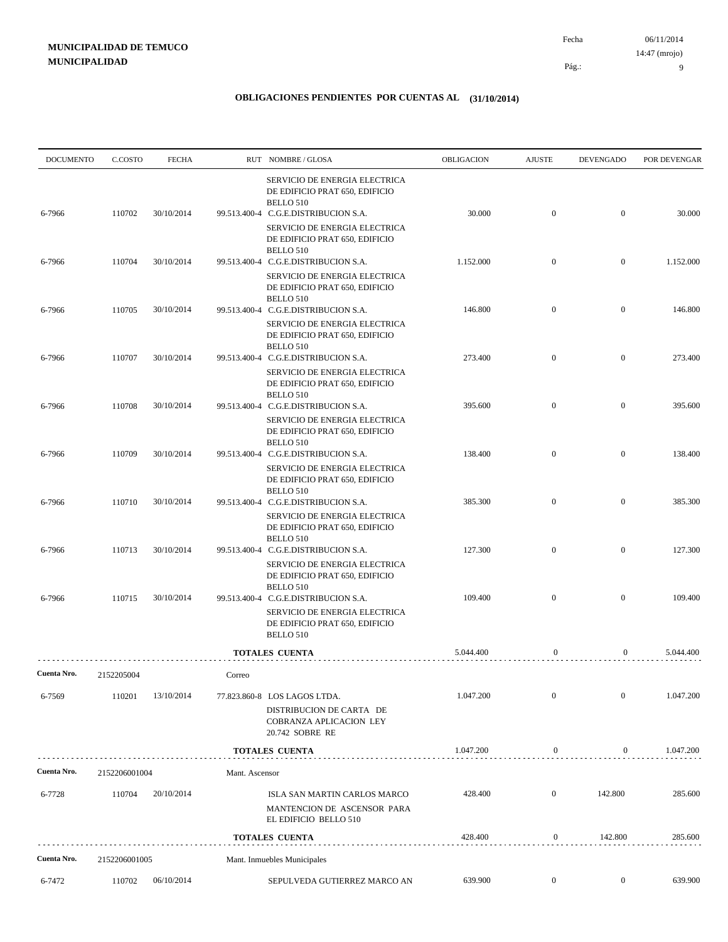| <b>DOCUMENTO</b> | C.COSTO       | <b>FECHA</b> |                | RUT NOMBRE/GLOSA                                                                                                                                                                        | <b>OBLIGACION</b> | <b>AJUSTE</b>    | <b>DEVENGADO</b> | POR DEVENGAR |
|------------------|---------------|--------------|----------------|-----------------------------------------------------------------------------------------------------------------------------------------------------------------------------------------|-------------------|------------------|------------------|--------------|
| 6-7966           | 110702        | 30/10/2014   |                | SERVICIO DE ENERGIA ELECTRICA<br>DE EDIFICIO PRAT 650, EDIFICIO<br>BELLO 510<br>99.513.400-4 C.G.E.DISTRIBUCION S.A.<br>SERVICIO DE ENERGIA ELECTRICA<br>DE EDIFICIO PRAT 650, EDIFICIO | 30.000            | $\mathbf{0}$     | $\overline{0}$   | 30.000       |
| 6-7966           | 110704        | 30/10/2014   |                | BELLO 510<br>99.513.400-4 C.G.E.DISTRIBUCION S.A.                                                                                                                                       | 1.152.000         | $\mathbf{0}$     | $\overline{0}$   | 1.152.000    |
|                  |               |              |                | SERVICIO DE ENERGIA ELECTRICA<br>DE EDIFICIO PRAT 650, EDIFICIO<br>BELLO 510                                                                                                            |                   |                  |                  |              |
| 6-7966           | 110705        | 30/10/2014   |                | 99.513.400-4 C.G.E.DISTRIBUCION S.A.<br>SERVICIO DE ENERGIA ELECTRICA<br>DE EDIFICIO PRAT 650, EDIFICIO<br>BELLO 510                                                                    | 146.800           | $\mathbf{0}$     | $\mathbf{0}$     | 146.800      |
| 6-7966           | 110707        | 30/10/2014   |                | 99.513.400-4 C.G.E.DISTRIBUCION S.A.<br>SERVICIO DE ENERGIA ELECTRICA<br>DE EDIFICIO PRAT 650, EDIFICIO                                                                                 | 273.400           | $\overline{0}$   | $\mathbf{0}$     | 273.400      |
| 6-7966           | 110708        | 30/10/2014   |                | BELLO 510<br>99.513.400-4 C.G.E.DISTRIBUCION S.A.<br>SERVICIO DE ENERGIA ELECTRICA                                                                                                      | 395.600           | $\mathbf{0}$     | $\mathbf{0}$     | 395.600      |
| 6-7966           | 110709        | 30/10/2014   |                | DE EDIFICIO PRAT 650, EDIFICIO<br>BELLO 510<br>99.513.400-4 C.G.E.DISTRIBUCION S.A.<br>SERVICIO DE ENERGIA ELECTRICA                                                                    | 138.400           | $\overline{0}$   | $\overline{0}$   | 138.400      |
| 6-7966           | 110710        | 30/10/2014   |                | DE EDIFICIO PRAT 650, EDIFICIO<br>BELLO 510<br>99.513.400-4 C.G.E.DISTRIBUCION S.A.                                                                                                     | 385.300           | $\overline{0}$   | $\overline{0}$   | 385.300      |
|                  |               |              |                | SERVICIO DE ENERGIA ELECTRICA<br>DE EDIFICIO PRAT 650, EDIFICIO<br>BELLO 510                                                                                                            |                   |                  |                  |              |
| 6-7966           | 110713        | 30/10/2014   |                | 99.513.400-4 C.G.E.DISTRIBUCION S.A.<br>SERVICIO DE ENERGIA ELECTRICA<br>DE EDIFICIO PRAT 650, EDIFICIO                                                                                 | 127.300           | $\overline{0}$   | $\overline{0}$   | 127.300      |
| 6-7966           | 110715        | 30/10/2014   |                | BELLO 510<br>99.513.400-4 C.G.E.DISTRIBUCION S.A.<br>SERVICIO DE ENERGIA ELECTRICA<br>DE EDIFICIO PRAT 650, EDIFICIO<br>BELLO 510                                                       | 109.400           | $\overline{0}$   | $\mathbf{0}$     | 109.400      |
|                  |               |              |                | <b>TOTALES CUENTA</b>                                                                                                                                                                   | 5.044.400         | $\boldsymbol{0}$ | $\overline{0}$   | 5.044.400    |
| Cuenta Nro.      | 2152205004    |              | Correo         |                                                                                                                                                                                         |                   |                  |                  |              |
| 6-7569           | 110201        | 13/10/2014   |                | 77.823.860-8 LOS LAGOS LTDA.<br>DISTRIBUCION DE CARTA DE<br>COBRANZA APLICACION LEY<br>20.742 SOBRE RE                                                                                  | 1.047.200         | $\mathbf{0}$     | $\boldsymbol{0}$ | 1.047.200    |
|                  |               |              |                | <b>TOTALES CUENTA</b>                                                                                                                                                                   | 1.047.200         | $\boldsymbol{0}$ | 0                | 1.047.200    |
| Cuenta Nro.      | 2152206001004 |              | Mant. Ascensor |                                                                                                                                                                                         |                   |                  |                  |              |
| 6-7728           | 110704        | 20/10/2014   |                | ISLA SAN MARTIN CARLOS MARCO<br>MANTENCION DE ASCENSOR PARA<br>EL EDIFICIO BELLO 510                                                                                                    | 428.400           | $\boldsymbol{0}$ | 142.800          | 285.600      |
|                  |               |              |                | TOTALES CUENTA                                                                                                                                                                          | 428.400           | 0                | 142.800          | 285.600      |
| Cuenta Nro.      | 2152206001005 |              |                | Mant. Inmuebles Municipales                                                                                                                                                             |                   |                  |                  |              |
| 6-7472           | 110702        | 06/10/2014   |                | SEPULVEDA GUTIERREZ MARCO AN                                                                                                                                                            | 639.900           | $\mathbf{0}$     | $\overline{0}$   | 639.900      |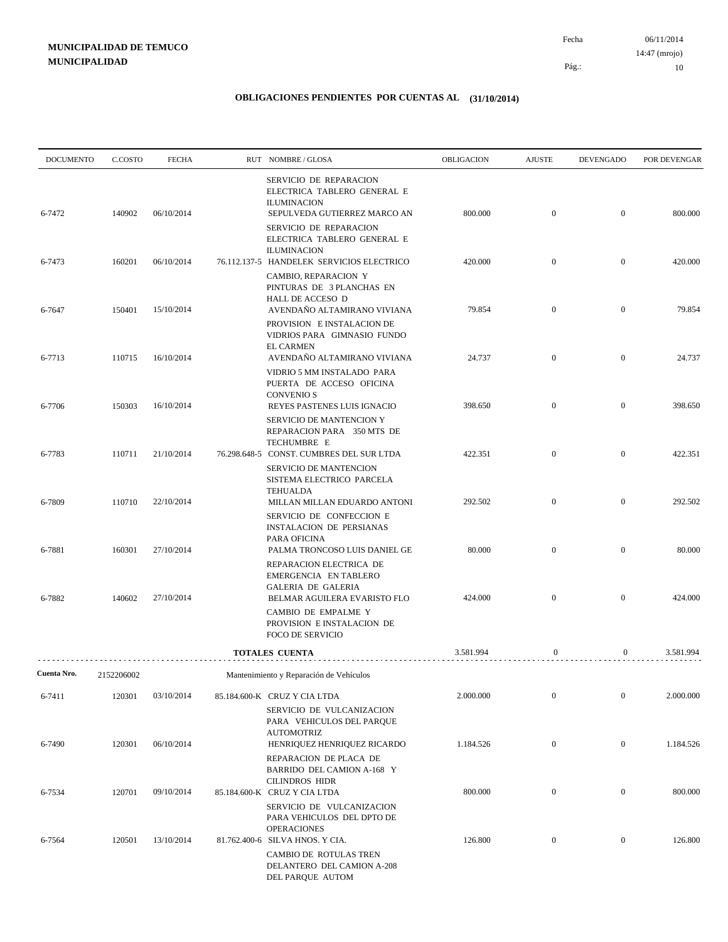| SERVICIO DE REPARACION<br>ELECTRICA TABLERO GENERAL E                                                                                                                         |                  |           |
|-------------------------------------------------------------------------------------------------------------------------------------------------------------------------------|------------------|-----------|
| <b>ILUMINACION</b><br>$\mathbf{0}$<br>06/10/2014<br>800.000<br>6-7472<br>140902<br>SEPULVEDA GUTIERREZ MARCO AN                                                               | $\mathbf{0}$     | 800.000   |
| SERVICIO DE REPARACION<br>ELECTRICA TABLERO GENERAL E<br><b>ILUMINACION</b>                                                                                                   |                  |           |
| 160201<br>06/10/2014<br>76.112.137-5 HANDELEK SERVICIOS ELECTRICO<br>420.000<br>$\mathbf{0}$<br>6-7473<br>CAMBIO, REPARACION Y<br>PINTURAS DE 3 PLANCHAS EN                   | $\mathbf{0}$     | 420.000   |
| HALL DE ACCESO D<br>AVENDAÑO ALTAMIRANO VIVIANA<br>150401<br>15/10/2014<br>79.854<br>$\mathbf{0}$<br>6-7647<br>PROVISION E INSTALACION DE                                     | $\mathbf{0}$     | 79.854    |
| VIDRIOS PARA GIMNASIO FUNDO<br><b>EL CARMEN</b><br>AVENDAÑO ALTAMIRANO VIVIANA<br>24.737<br>$\boldsymbol{0}$<br>110715<br>16/10/2014<br>6-7713                                | $\mathbf{0}$     | 24.737    |
| VIDRIO 5 MM INSTALADO PARA<br>PUERTA DE ACCESO OFICINA<br><b>CONVENIO S</b><br>16/10/2014<br>398.650<br>$\mathbf{0}$<br>150303<br>REYES PASTENES LUIS IGNACIO<br>6-7706       | $\mathbf{0}$     | 398.650   |
| SERVICIO DE MANTENCION Y<br>REPARACION PARA 350 MTS DE<br>TECHUMBRE E                                                                                                         |                  |           |
| 422.351<br>110711<br>21/10/2014<br>76.298.648-5 CONST. CUMBRES DEL SUR LTDA<br>$\mathbf{0}$<br>6-7783<br>SERVICIO DE MANTENCION<br>SISTEMA ELECTRICO PARCELA                  | $\mathbf{0}$     | 422.351   |
| <b>TEHUALDA</b><br>292.502<br>$\mathbf{0}$<br>110710<br>22/10/2014<br>6-7809<br>MILLAN MILLAN EDUARDO ANTONI<br>SERVICIO DE CONFECCION E                                      | $\mathbf{0}$     | 292.502   |
| <b>INSTALACION DE PERSIANAS</b><br>PARA OFICINA<br>27/10/2014<br>80.000<br>$\mathbf{0}$<br>160301<br>6-7881<br>PALMA TRONCOSO LUIS DANIEL GE                                  | $\mathbf{0}$     | 80.000    |
| REPARACION ELECTRICA DE<br>EMERGENCIA EN TABLERO<br><b>GALERIA DE GALERIA</b>                                                                                                 |                  |           |
| 27/10/2014<br>424.000<br>$\boldsymbol{0}$<br>140602<br>6-7882<br>BELMAR AGUILERA EVARISTO FLO<br>CAMBIO DE EMPALME Y<br>PROVISION E INSTALACION DE<br><b>FOCO DE SERVICIO</b> | $\mathbf{0}$     | 424.000   |
| <b>TOTALES CUENTA</b><br>3.581.994<br>$\mathbf{0}$                                                                                                                            | $\overline{0}$   | 3.581.994 |
| Cuenta Nro.<br>2152206002<br>Mantenimiento y Reparación de Vehículos                                                                                                          |                  |           |
| 6-7411<br>120301<br>03/10/2014<br>2.000.000<br>$\mathbf{0}$<br>85.184.600-K CRUZ Y CIA LTDA<br>SERVICIO DE VULCANIZACION                                                      | $\boldsymbol{0}$ | 2.000.000 |
| PARA VEHICULOS DEL PARQUE<br><b>AUTOMOTRIZ</b><br>$\boldsymbol{0}$<br>6-7490<br>120301<br>06/10/2014<br>HENRIQUEZ HENRIQUEZ RICARDO<br>1.184.526                              | $\boldsymbol{0}$ | 1.184.526 |
| REPARACION DE PLACA DE<br>BARRIDO DEL CAMION A-168 Y<br><b>CILINDROS HIDR</b>                                                                                                 |                  |           |
| $\mathbf{0}$<br>800.000<br>6-7534<br>120701<br>09/10/2014<br>85.184.600-K CRUZ Y CIA LTDA<br>SERVICIO DE VULCANIZACION<br>PARA VEHICULOS DEL DPTO DE                          | $\boldsymbol{0}$ | 800.000   |
| <b>OPERACIONES</b><br>126.800<br>120501<br>13/10/2014<br>$\bf{0}$<br>6-7564<br>81.762.400-6 SILVA HNOS. Y CIA.<br>CAMBIO DE ROTULAS TREN<br>DELANTERO DEL CAMION A-208        | $\boldsymbol{0}$ | 126.800   |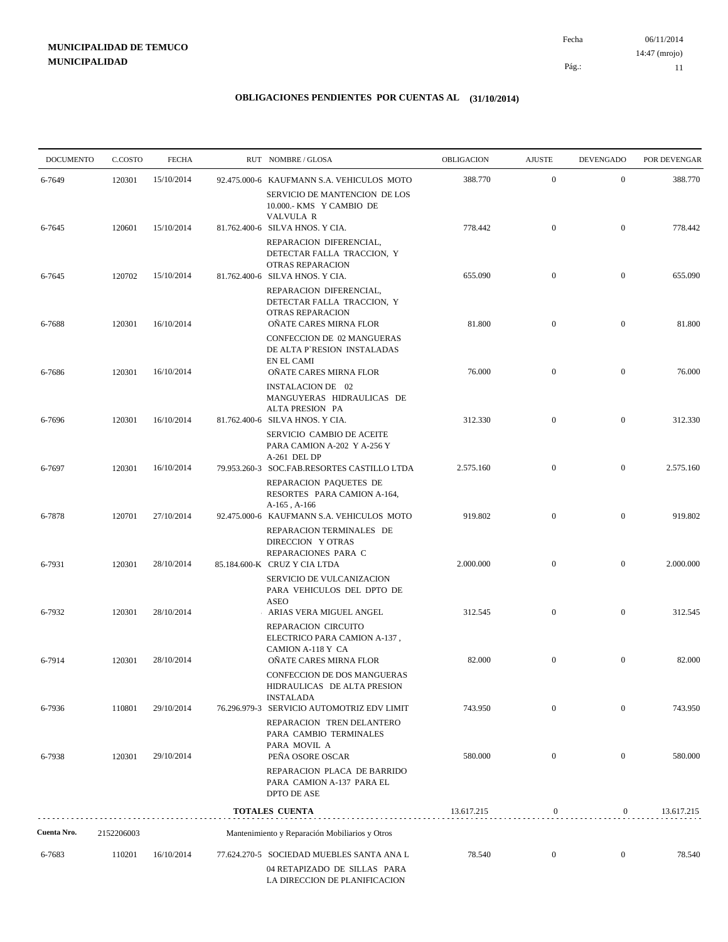06/11/2014 11 Pág.: Fecha 14:47 (mrojo)

| <b>DOCUMENTO</b> | C.COSTO    | <b>FECHA</b> | RUT NOMBRE/GLOSA                                                                                                             | OBLIGACION | <b>AJUSTE</b>    | <b>DEVENGADO</b> | POR DEVENGAR |
|------------------|------------|--------------|------------------------------------------------------------------------------------------------------------------------------|------------|------------------|------------------|--------------|
| 6-7649           | 120301     | 15/10/2014   | 92.475.000-6 KAUFMANN S.A. VEHICULOS MOTO                                                                                    | 388.770    | $\mathbf{0}$     | $\mathbf{0}$     | 388.770      |
|                  |            |              | SERVICIO DE MANTENCION DE LOS<br>10.000.- KMS Y CAMBIO DE                                                                    |            |                  |                  |              |
| 6-7645           | 120601     | 15/10/2014   | <b>VALVULA R</b><br>81.762.400-6 SILVA HNOS. Y CIA.                                                                          | 778.442    | $\overline{0}$   | $\overline{0}$   | 778.442      |
|                  |            |              | REPARACION DIFERENCIAL,<br>DETECTAR FALLA TRACCION, Y<br>OTRAS REPARACION                                                    |            |                  |                  |              |
| 6-7645           | 120702     | 15/10/2014   | 81.762.400-6 SILVA HNOS. Y CIA.<br>REPARACION DIFERENCIAL,<br>DETECTAR FALLA TRACCION, Y                                     | 655.090    | $\boldsymbol{0}$ | $\mathbf{0}$     | 655.090      |
| 6-7688           | 120301     | 16/10/2014   | OTRAS REPARACION<br>OÑATE CARES MIRNA FLOR<br><b>CONFECCION DE 02 MANGUERAS</b><br>DE ALTA P'RESION INSTALADAS<br>EN EL CAMI | 81.800     | $\boldsymbol{0}$ | $\mathbf{0}$     | 81.800       |
| 6-7686           | 120301     | 16/10/2014   | OÑATE CARES MIRNA FLOR<br><b>INSTALACION DE 02</b>                                                                           | 76.000     | $\boldsymbol{0}$ | $\mathbf{0}$     | 76.000       |
| 6-7696           | 120301     | 16/10/2014   | MANGUYERAS HIDRAULICAS DE<br>ALTA PRESION PA<br>81.762.400-6 SILVA HNOS. Y CIA.                                              | 312.330    | $\boldsymbol{0}$ | $\mathbf{0}$     | 312.330      |
|                  |            |              | SERVICIO CAMBIO DE ACEITE<br>PARA CAMION A-202 Y A-256 Y<br>A-261 DEL DP                                                     |            |                  |                  |              |
| 6-7697           | 120301     | 16/10/2014   | 79.953.260-3 SOC.FAB.RESORTES CASTILLO LTDA<br>REPARACION PAQUETES DE                                                        | 2.575.160  | $\boldsymbol{0}$ | $\boldsymbol{0}$ | 2.575.160    |
| 6-7878           | 120701     | 27/10/2014   | RESORTES PARA CAMION A-164,<br>$A-165$ , $A-166$<br>92.475.000-6 KAUFMANN S.A. VEHICULOS MOTO                                | 919.802    | $\overline{0}$   | $\boldsymbol{0}$ | 919.802      |
|                  |            |              | REPARACION TERMINALES DE<br>DIRECCION Y OTRAS<br>REPARACIONES PARA C                                                         |            | $\boldsymbol{0}$ | $\mathbf{0}$     |              |
| 6-7931           | 120301     | 28/10/2014   | 85.184.600-K CRUZ Y CIA LTDA<br>SERVICIO DE VULCANIZACION<br>PARA VEHICULOS DEL DPTO DE<br><b>ASEO</b>                       | 2.000.000  |                  |                  | 2.000.000    |
| 6-7932           | 120301     | 28/10/2014   | ARIAS VERA MIGUEL ANGEL<br>REPARACION CIRCUITO                                                                               | 312.545    | $\overline{0}$   | $\overline{0}$   | 312.545      |
|                  |            |              | ELECTRICO PARA CAMION A-137,<br>CAMION A-118 Y CA                                                                            |            |                  |                  |              |
| 6-7914           | 120301     | 28/10/2014   | ONATE CARES MIRNA FLOR<br>CONFECCION DE DOS MANGUERAS<br>HIDRAULICAS DE ALTA PRESION<br><b>INSTALADA</b>                     | 82.000     | $\boldsymbol{0}$ | $\mathbf{0}$     | 82.000       |
| 6-7936           | 110801     | 29/10/2014   | 76.296.979-3 SERVICIO AUTOMOTRIZ EDV LIMIT<br>REPARACION TREN DELANTERO<br>PARA CAMBIO TERMINALES                            | 743.950    | $\mathbf{0}$     | $\overline{0}$   | 743.950      |
| 6-7938           | 120301     | 29/10/2014   | PARA MOVIL A<br>PEÑA OSORE OSCAR                                                                                             | 580.000    | $\boldsymbol{0}$ | $\mathbf{0}$     | 580.000      |
|                  |            |              | REPARACION PLACA DE BARRIDO<br>PARA CAMION A-137 PARA EL<br>DPTO DE ASE                                                      |            |                  |                  |              |
|                  |            |              | TOTALES CUENTA                                                                                                               | 13.617.215 | $\boldsymbol{0}$ | $\overline{0}$   | 13.617.215   |
| Cuenta Nro.      | 2152206003 |              | Mantenimiento y Reparación Mobiliarios y Otros                                                                               |            |                  |                  |              |
| 6-7683           | 110201     | 16/10/2014   | 77.624.270-5 SOCIEDAD MUEBLES SANTA ANA L                                                                                    | 78.540     | $\boldsymbol{0}$ | $\boldsymbol{0}$ | 78.540       |
|                  |            |              | 04 RETAPIZADO DE SILLAS PARA<br>LA DIRECCION DE PLANIFICACION                                                                |            |                  |                  |              |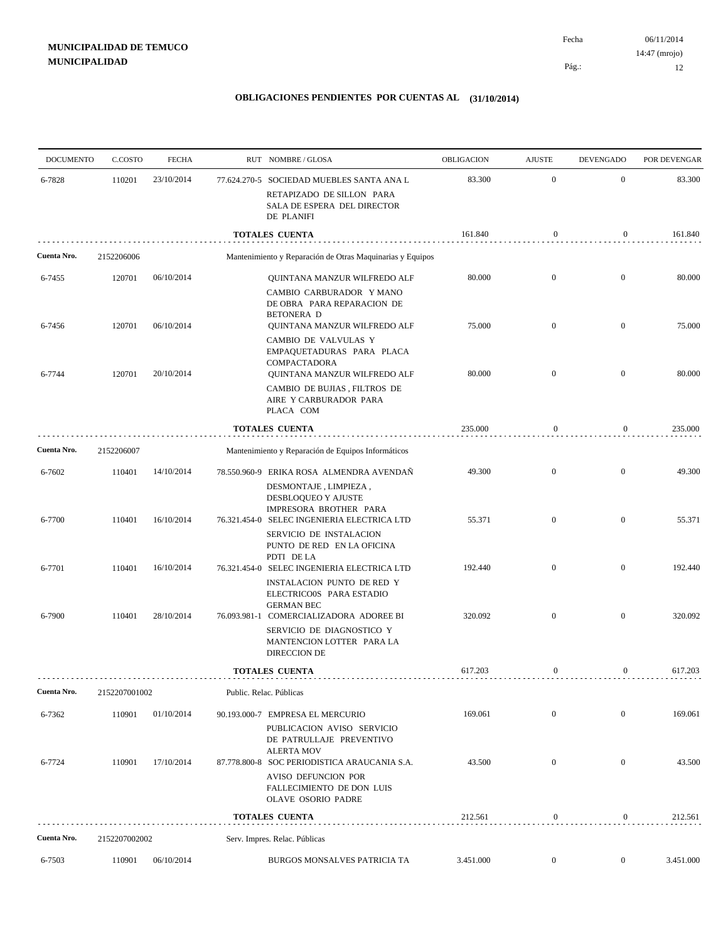| <b>DOCUMENTO</b> | C.COSTO       | <b>FECHA</b> |                         | RUT NOMBRE/GLOSA                                                                                                       | OBLIGACION | <b>AJUSTE</b>    | <b>DEVENGADO</b> | POR DEVENGAR |
|------------------|---------------|--------------|-------------------------|------------------------------------------------------------------------------------------------------------------------|------------|------------------|------------------|--------------|
| 6-7828           | 110201        | 23/10/2014   |                         | 77.624.270-5 SOCIEDAD MUEBLES SANTA ANA L                                                                              | 83.300     | $\mathbf{0}$     | $\mathbf{0}$     | 83.300       |
|                  |               |              |                         | RETAPIZADO DE SILLON PARA<br>SALA DE ESPERA DEL DIRECTOR<br>DE PLANIFI                                                 |            |                  |                  |              |
|                  |               |              |                         | <b>TOTALES CUENTA</b>                                                                                                  | 161.840    | $\boldsymbol{0}$ | 0                | 161.840      |
| Cuenta Nro.      | 2152206006    |              |                         | Mantenimiento y Reparación de Otras Maquinarias y Equipos                                                              |            |                  |                  |              |
| 6-7455           | 120701        | 06/10/2014   |                         | QUINTANA MANZUR WILFREDO ALF<br>CAMBIO CARBURADOR Y MANO<br>DE OBRA PARA REPARACION DE<br><b>BETONERA D</b>            | 80.000     | $\mathbf{0}$     | $\mathbf{0}$     | 80.000       |
| 6-7456           | 120701        | 06/10/2014   |                         | QUINTANA MANZUR WILFREDO ALF<br>CAMBIO DE VALVULAS Y                                                                   | 75.000     | $\mathbf{0}$     | $\overline{0}$   | 75.000       |
| 6-7744           | 120701        | 20/10/2014   |                         | EMPAQUETADURAS PARA PLACA<br>COMPACTADORA<br>QUINTANA MANZUR WILFREDO ALF                                              | 80.000     | $\overline{0}$   | $\mathbf{0}$     | 80.000       |
|                  |               |              |                         | CAMBIO DE BUJIAS, FILTROS DE<br>AIRE Y CARBURADOR PARA<br>PLACA COM                                                    |            |                  |                  |              |
|                  |               |              |                         | <b>TOTALES CUENTA</b>                                                                                                  | 235.000    | $\boldsymbol{0}$ | $\boldsymbol{0}$ | 235.000      |
| Cuenta Nro.      | 2152206007    |              |                         | Mantenimiento y Reparación de Equipos Informáticos                                                                     |            |                  |                  |              |
| 6-7602           | 110401        | 14/10/2014   |                         | 78.550.960-9 ERIKA ROSA ALMENDRA AVENDAÑ<br>DESMONTAJE, LIMPIEZA,<br>DESBLOQUEO Y AJUSTE                               | 49.300     | $\mathbf{0}$     | $\mathbf{0}$     | 49.300       |
| 6-7700           | 110401        | 16/10/2014   |                         | IMPRESORA BROTHER PARA<br>76.321.454-0 SELEC INGENIERIA ELECTRICA LTD<br>SERVICIO DE INSTALACION                       | 55.371     | $\mathbf{0}$     | $\mathbf{0}$     | 55.371       |
| 6-7701           | 110401        | 16/10/2014   |                         | PUNTO DE RED EN LA OFICINA<br>PDTI DE LA<br>76.321.454-0 SELEC INGENIERIA ELECTRICA LTD                                | 192.440    | $\mathbf{0}$     | $\overline{0}$   | 192.440      |
| 6-7900           | 110401        | 28/10/2014   |                         | INSTALACION PUNTO DE RED Y<br>ELECTRICO0S PARA ESTADIO<br><b>GERMAN BEC</b><br>76.093.981-1 COMERCIALIZADORA ADOREE BI | 320.092    | $\overline{0}$   | $\mathbf{0}$     | 320.092      |
|                  |               |              |                         | SERVICIO DE DIAGNOSTICO Y<br>MANTENCION LOTTER PARA LA<br>DIRECCION DE                                                 |            |                  |                  |              |
|                  |               |              |                         | <b>TOTALES CUENTA</b>                                                                                                  | 617.203    | $\boldsymbol{0}$ | 0                | 617.203      |
| Cuenta Nro.      | 2152207001002 |              | Public. Relac. Públicas |                                                                                                                        |            |                  |                  |              |
| 6-7362           | 110901        | 01/10/2014   |                         | 90.193.000-7 EMPRESA EL MERCURIO<br>PUBLICACION AVISO SERVICIO<br>DE PATRULLAJE PREVENTIVO                             | 169.061    | $\mathbf{0}$     | $\overline{0}$   | 169.061      |
| 6-7724           | 110901        | 17/10/2014   |                         | <b>ALERTA MOV</b><br>87.778.800-8 SOC PERIODISTICA ARAUCANIA S.A.<br>AVISO DEFUNCION POR                               | 43.500     | $\mathbf{0}$     | $\mathbf{0}$     | 43.500       |
|                  |               |              |                         | FALLECIMIENTO DE DON LUIS<br>OLAVE OSORIO PADRE                                                                        |            |                  |                  |              |
|                  |               |              |                         | <b>TOTALES CUENTA</b>                                                                                                  | 212.561    | $\boldsymbol{0}$ | $\overline{0}$   | 212.561      |
| Cuenta Nro.      | 2152207002002 |              |                         | Serv. Impres. Relac. Públicas                                                                                          |            |                  |                  |              |
| 6-7503           | 110901        | 06/10/2014   |                         | BURGOS MONSALVES PATRICIA TA                                                                                           | 3.451.000  | $\mathbf{0}$     | $\mathbf{0}$     | 3.451.000    |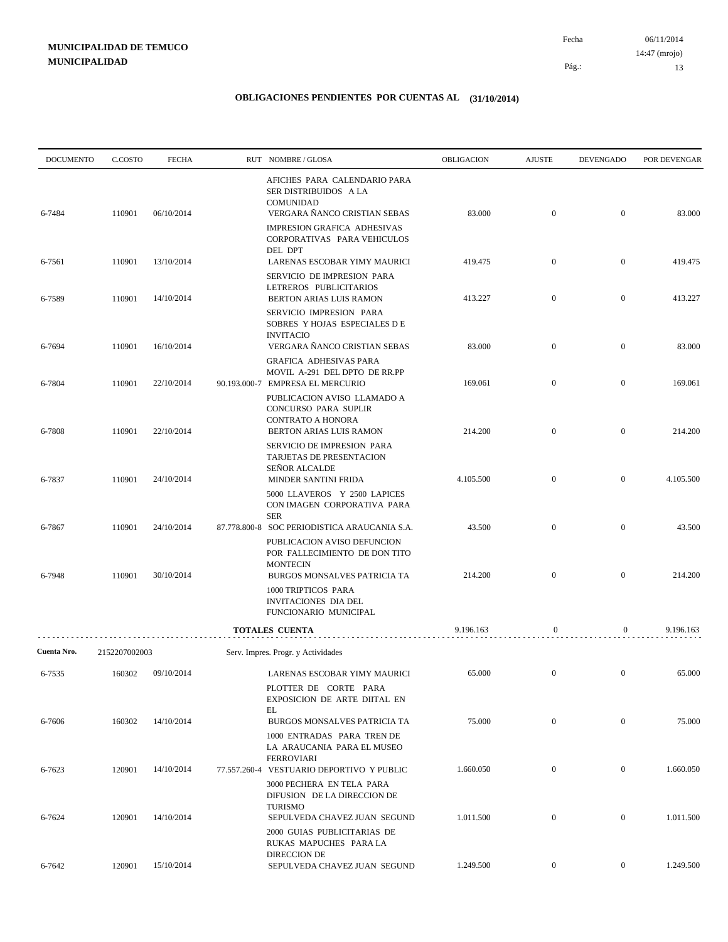06/11/2014 13 Pág.: Fecha 14:47 (mrojo)

| <b>DOCUMENTO</b> | C.COSTO       | <b>FECHA</b> | RUT NOMBRE/GLOSA                                                                                              | OBLIGACION | <b>AJUSTE</b>    | <b>DEVENGADO</b> | POR DEVENGAR |
|------------------|---------------|--------------|---------------------------------------------------------------------------------------------------------------|------------|------------------|------------------|--------------|
| 6-7484           | 110901        | 06/10/2014   | AFICHES PARA CALENDARIO PARA<br>SER DISTRIBUIDOS A LA<br><b>COMUNIDAD</b><br>VERGARA ÑANCO CRISTIAN SEBAS     | 83.000     | $\mathbf{0}$     | $\boldsymbol{0}$ | 83.000       |
| 6-7561           | 110901        | 13/10/2014   | IMPRESION GRAFICA ADHESIVAS<br>CORPORATIVAS PARA VEHICULOS<br>DEL DPT<br>LARENAS ESCOBAR YIMY MAURICI         | 419.475    | $\boldsymbol{0}$ | $\mathbf{0}$     | 419.475      |
|                  |               |              | SERVICIO DE IMPRESION PARA<br>LETREROS PUBLICITARIOS                                                          |            |                  |                  |              |
| 6-7589           | 110901        | 14/10/2014   | BERTON ARIAS LUIS RAMON<br>SERVICIO IMPRESION PARA<br>SOBRES Y HOJAS ESPECIALES DE                            | 413.227    | $\mathbf{0}$     | $\mathbf{0}$     | 413.227      |
| 6-7694           | 110901        | 16/10/2014   | <b>INVITACIO</b><br>VERGARA ÑANCO CRISTIAN SEBAS<br><b>GRAFICA ADHESIVAS PARA</b>                             | 83.000     | $\mathbf{0}$     | $\boldsymbol{0}$ | 83.000       |
| 6-7804           | 110901        | 22/10/2014   | MOVIL A-291 DEL DPTO DE RR.PP<br>90.193.000-7 EMPRESA EL MERCURIO                                             | 169.061    | $\mathbf{0}$     | $\mathbf{0}$     | 169.061      |
| 6-7808           | 110901        | 22/10/2014   | PUBLICACION AVISO LLAMADO A<br>CONCURSO PARA SUPLIR<br><b>CONTRATO A HONORA</b><br>BERTON ARIAS LUIS RAMON    | 214.200    | $\mathbf{0}$     | $\boldsymbol{0}$ | 214.200      |
| 6-7837           | 110901        | 24/10/2014   | SERVICIO DE IMPRESION PARA<br><b>TARJETAS DE PRESENTACION</b><br><b>SEÑOR ALCALDE</b><br>MINDER SANTINI FRIDA | 4.105.500  | $\mathbf{0}$     | $\mathbf{0}$     | 4.105.500    |
|                  |               |              | 5000 LLAVEROS Y 2500 LAPICES<br>CON IMAGEN CORPORATIVA PARA<br><b>SER</b>                                     |            |                  |                  |              |
| 6-7867           | 110901        | 24/10/2014   | 87.778.800-8 SOC PERIODISTICA ARAUCANIA S.A.<br>PUBLICACION AVISO DEFUNCION                                   | 43.500     | $\mathbf{0}$     | $\boldsymbol{0}$ | 43.500       |
| 6-7948           | 110901        | 30/10/2014   | POR FALLECIMIENTO DE DON TITO<br><b>MONTECIN</b><br>BURGOS MONSALVES PATRICIA TA                              | 214.200    | $\mathbf{0}$     | $\mathbf{0}$     | 214.200      |
|                  |               |              | 1000 TRIPTICOS PARA<br>INVITACIONES DIA DEL<br>FUNCIONARIO MUNICIPAL                                          |            |                  |                  |              |
|                  |               |              | <b>TOTALES CUENTA</b>                                                                                         | 9.196.163  | 0                | 0                | 9.196.163    |
| Cuenta Nro.      | 2152207002003 |              | Serv. Impres. Progr. y Actividades                                                                            |            |                  |                  |              |
| 6-7535           | 160302        | 09/10/2014   | LARENAS ESCOBAR YIMY MAURICI<br>PLOTTER DE CORTE PARA<br>EXPOSICION DE ARTE DIITAL EN                         | 65.000     | $\mathbf{0}$     | $\mathbf{0}$     | 65.000       |
| 6-7606           | 160302        | 14/10/2014   | EL<br>BURGOS MONSALVES PATRICIA TA<br>1000 ENTRADAS PARA TREN DE                                              | 75.000     | $\mathbf{0}$     | $\overline{0}$   | 75.000       |
| 6-7623           | 120901        | 14/10/2014   | LA ARAUCANIA PARA EL MUSEO<br><b>FERROVIARI</b><br>77.557.260-4 VESTUARIO DEPORTIVO Y PUBLIC                  | 1.660.050  | $\mathbf{0}$     | $\overline{0}$   | 1.660.050    |
|                  |               |              | 3000 PECHERA EN TELA PARA<br>DIFUSION DE LA DIRECCION DE<br><b>TURISMO</b>                                    |            |                  |                  |              |
| 6-7624           | 120901        | 14/10/2014   | SEPULVEDA CHAVEZ JUAN SEGUND<br>2000 GUIAS PUBLICITARIAS DE<br>RUKAS MAPUCHES PARA LA                         | 1.011.500  | $\mathbf{0}$     | $\mathbf{0}$     | 1.011.500    |
| 6-7642           | 120901        | 15/10/2014   | DIRECCION DE<br>SEPULVEDA CHAVEZ JUAN SEGUND                                                                  | 1.249.500  | $\overline{0}$   | $\overline{0}$   | 1.249.500    |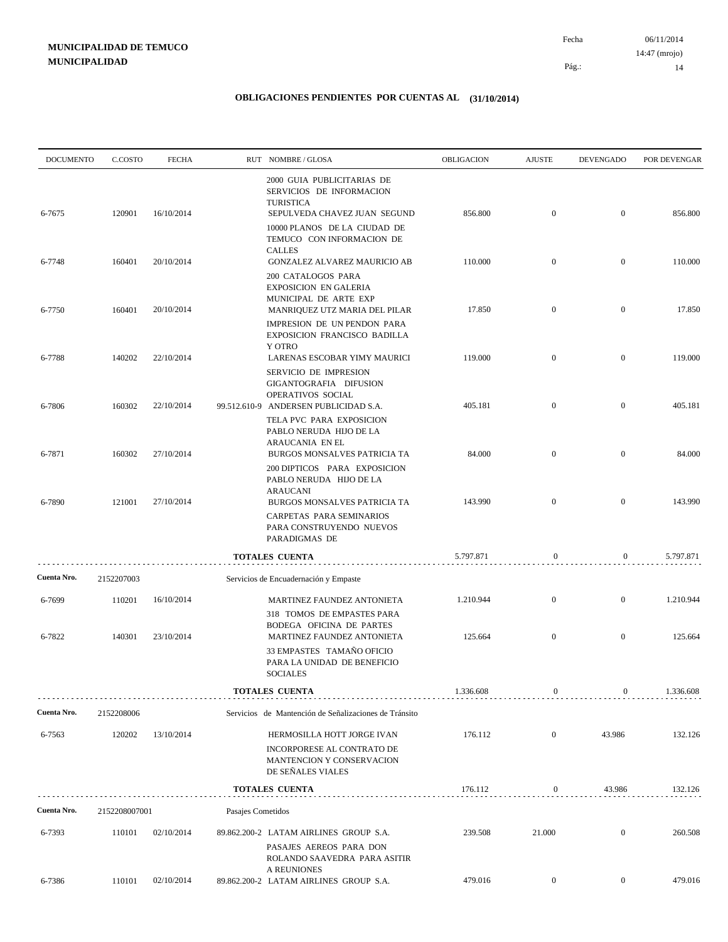06/11/2014 14 Pág.: Fecha 14:47 (mrojo)

| <b>DOCUMENTO</b> | C.COSTO       | <b>FECHA</b> |                   | RUT NOMBRE/GLOSA                                                                                                                          | OBLIGACION | <b>AJUSTE</b>    | <b>DEVENGADO</b> | POR DEVENGAR |
|------------------|---------------|--------------|-------------------|-------------------------------------------------------------------------------------------------------------------------------------------|------------|------------------|------------------|--------------|
| 6-7675           | 120901        | 16/10/2014   |                   | 2000 GUIA PUBLICITARIAS DE<br>SERVICIOS DE INFORMACION<br><b>TURISTICA</b><br>SEPULVEDA CHAVEZ JUAN SEGUND                                | 856.800    | $\mathbf{0}$     | $\mathbf{0}$     | 856.800      |
| 6-7748           | 160401        | 20/10/2014   |                   | 10000 PLANOS DE LA CIUDAD DE<br>TEMUCO CON INFORMACION DE<br><b>CALLES</b><br>GONZALEZ ALVAREZ MAURICIO AB                                | 110.000    | $\mathbf{0}$     | $\mathbf{0}$     | 110.000      |
|                  |               |              |                   | 200 CATALOGOS PARA<br><b>EXPOSICION EN GALERIA</b><br>MUNICIPAL DE ARTE EXP                                                               |            |                  |                  |              |
| 6-7750           | 160401        | 20/10/2014   |                   | MANRIQUEZ UTZ MARIA DEL PILAR<br>IMPRESION DE UN PENDON PARA<br>EXPOSICION FRANCISCO BADILLA                                              | 17.850     | $\mathbf{0}$     | $\mathbf{0}$     | 17.850       |
| 6-7788           | 140202        | 22/10/2014   |                   | <b>Y OTRO</b><br>LARENAS ESCOBAR YIMY MAURICI                                                                                             | 119.000    | $\mathbf{0}$     | $\mathbf{0}$     | 119.000      |
| 6-7806           | 160302        | 22/10/2014   |                   | SERVICIO DE IMPRESION<br>GIGANTOGRAFIA DIFUSION<br>OPERATIVOS SOCIAL<br>99.512.610-9 ANDERSEN PUBLICIDAD S.A.<br>TELA PVC PARA EXPOSICION | 405.181    | $\mathbf{0}$     | $\mathbf{0}$     | 405.181      |
| 6-7871           | 160302        | 27/10/2014   |                   | PABLO NERUDA HIJO DE LA<br>ARAUCANIA EN EL<br>BURGOS MONSALVES PATRICIA TA                                                                | 84.000     | $\mathbf{0}$     | $\mathbf{0}$     | 84.000       |
| 6-7890           | 121001        | 27/10/2014   |                   | 200 DIPTICOS PARA EXPOSICION<br>PABLO NERUDA HIJO DE LA<br><b>ARAUCANI</b><br>BURGOS MONSALVES PATRICIA TA                                | 143.990    | $\mathbf{0}$     | $\bf{0}$         | 143.990      |
|                  |               |              |                   | CARPETAS PARA SEMINARIOS<br>PARA CONSTRUYENDO NUEVOS<br>PARADIGMAS DE                                                                     |            |                  |                  |              |
|                  |               |              |                   | <b>TOTALES CUENTA</b>                                                                                                                     | 5.797.871  | $\boldsymbol{0}$ | $\boldsymbol{0}$ | 5.797.871    |
| Cuenta Nro.      | 2152207003    |              |                   | Servicios de Encuadernación y Empaste                                                                                                     |            |                  |                  |              |
| 6-7699           | 110201        | 16/10/2014   |                   | MARTINEZ FAUNDEZ ANTONIETA<br>318 TOMOS DE EMPASTES PARA                                                                                  | 1.210.944  | $\mathbf{0}$     | $\mathbf{0}$     | 1.210.944    |
| 6-7822           | 140301        | 23/10/2014   |                   | BODEGA OFICINA DE PARTES<br>MARTINEZ FAUNDEZ ANTONIETA                                                                                    | 125.664    | $\mathbf{0}$     | $\mathbf{0}$     | 125.664      |
|                  |               |              |                   | 33 EMPASTES TAMAÑO OFICIO<br>PARA LA UNIDAD DE BENEFICIO<br><b>SOCIALES</b>                                                               |            |                  |                  |              |
|                  |               |              |                   | <b>TOTALES CUENTA</b>                                                                                                                     | 1.336.608  | $\boldsymbol{0}$ | $\mathbf{0}$     | 1.336.608    |
| Cuenta Nro.      | 2152208006    |              |                   | Servicios de Mantención de Señalizaciones de Tránsito                                                                                     |            |                  |                  |              |
| 6-7563           | 120202        | 13/10/2014   |                   | HERMOSILLA HOTT JORGE IVAN                                                                                                                | 176.112    | $\mathbf{0}$     | 43.986           | 132.126      |
|                  |               |              |                   | INCORPORESE AL CONTRATO DE<br>MANTENCION Y CONSERVACION<br>DE SEÑALES VIALES                                                              |            |                  |                  |              |
|                  |               |              |                   | <b>TOTALES CUENTA</b>                                                                                                                     | 176.112    | $\boldsymbol{0}$ | 43.986           | 132.126      |
| Cuenta Nro.      | 2152208007001 |              | Pasajes Cometidos |                                                                                                                                           |            |                  |                  |              |
| 6-7393           | 110101        | 02/10/2014   |                   | 89.862.200-2 LATAM AIRLINES GROUP S.A.<br>PASAJES AEREOS PARA DON<br>ROLANDO SAAVEDRA PARA ASITIR<br><b>A REUNIONES</b>                   | 239.508    | 21.000           | $\mathbf{0}$     | 260.508      |
| 6-7386           | 110101        | 02/10/2014   |                   | 89.862.200-2 LATAM AIRLINES GROUP S.A.                                                                                                    | 479.016    | $\mathbf{0}$     | $\mathbf{0}$     | 479.016      |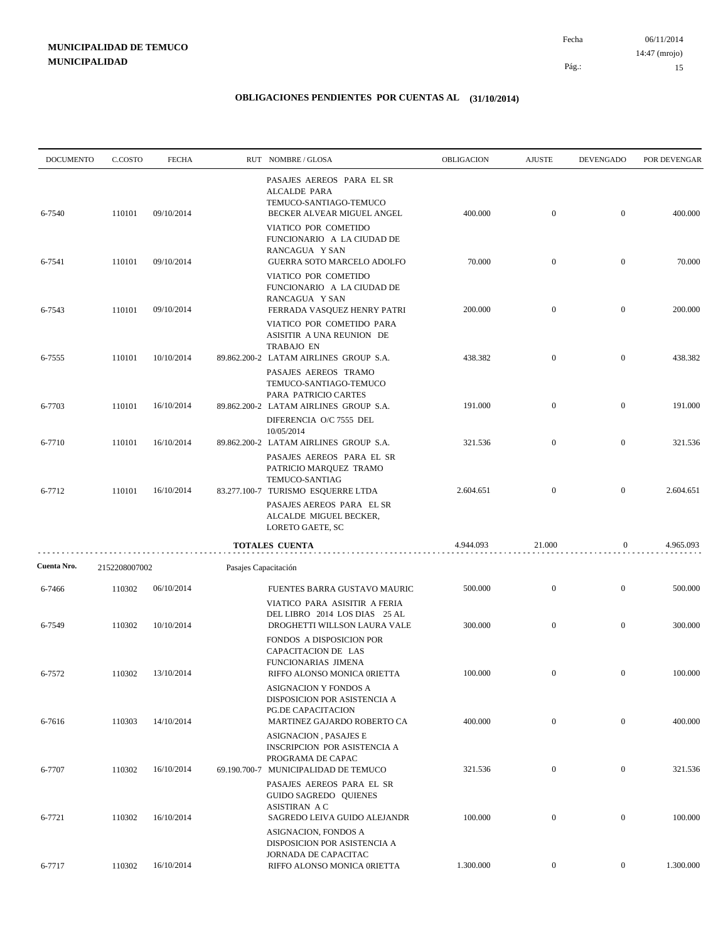06/11/2014 15 Pág.: Fecha 14:47 (mrojo)

| <b>DOCUMENTO</b> | C.COSTO       | <b>FECHA</b> |                      | RUT NOMBRE/GLOSA                                                                                                                                                                       | OBLIGACION | <b>AJUSTE</b>    | <b>DEVENGADO</b> | POR DEVENGAR |
|------------------|---------------|--------------|----------------------|----------------------------------------------------------------------------------------------------------------------------------------------------------------------------------------|------------|------------------|------------------|--------------|
| 6-7540           | 110101        | 09/10/2014   |                      | PASAJES AEREOS PARA EL SR<br>ALCALDE PARA<br>TEMUCO-SANTIAGO-TEMUCO<br>BECKER ALVEAR MIGUEL ANGEL<br>VIATICO POR COMETIDO<br>FUNCIONARIO A LA CIUDAD DE                                | 400.000    | $\mathbf{0}$     | $\mathbf{0}$     | 400.000      |
| 6-7541           | 110101        | 09/10/2014   |                      | RANCAGUA Y SAN<br>GUERRA SOTO MARCELO ADOLFO                                                                                                                                           | 70.000     | $\mathbf{0}$     | $\mathbf{0}$     | 70.000       |
| 6-7543           | 110101        | 09/10/2014   |                      | VIATICO POR COMETIDO<br>FUNCIONARIO A LA CIUDAD DE<br>RANCAGUA Y SAN<br>FERRADA VASQUEZ HENRY PATRI<br>VIATICO POR COMETIDO PARA<br>ASISITIR A UNA REUNION DE                          | 200.000    | $\mathbf{0}$     | $\mathbf{0}$     | 200.000      |
| 6-7555           | 110101        | 10/10/2014   |                      | <b>TRABAJO EN</b><br>89.862.200-2 LATAM AIRLINES GROUP S.A.                                                                                                                            | 438.382    | $\mathbf{0}$     | $\mathbf{0}$     | 438.382      |
| 6-7703           | 110101        | 16/10/2014   |                      | PASAJES AEREOS TRAMO<br>TEMUCO-SANTIAGO-TEMUCO<br>PARA PATRICIO CARTES<br>89.862.200-2 LATAM AIRLINES GROUP S.A.<br>DIFERENCIA O/C 7555 DEL                                            | 191.000    | $\mathbf{0}$     | $\mathbf{0}$     | 191.000      |
| 6-7710           | 110101        | 16/10/2014   |                      | 10/05/2014<br>89.862.200-2 LATAM AIRLINES GROUP S.A.                                                                                                                                   | 321.536    | $\mathbf{0}$     | $\boldsymbol{0}$ | 321.536      |
| 6-7712           | 110101        | 16/10/2014   |                      | PASAJES AEREOS PARA EL SR<br>PATRICIO MARQUEZ TRAMO<br>TEMUCO-SANTIAG<br>83.277.100-7 TURISMO ESQUERRE LTDA<br>PASAJES AEREOS PARA EL SR<br>ALCALDE MIGUEL BECKER,<br>LORETO GAETE, SC | 2.604.651  | $\mathbf{0}$     | $\mathbf{0}$     | 2.604.651    |
|                  |               |              |                      | <b>TOTALES CUENTA</b>                                                                                                                                                                  | 4.944.093  | 21.000           | $\boldsymbol{0}$ | 4.965.093    |
| Cuenta Nro.      | 2152208007002 |              | Pasajes Capacitación |                                                                                                                                                                                        |            |                  |                  |              |
| 6-7466           | 110302        | 06/10/2014   |                      | FUENTES BARRA GUSTAVO MAURIC<br>VIATICO PARA ASISITIR A FERIA<br>DEL LIBRO 2014 LOS DIAS 25 AL                                                                                         | 500.000    | $\boldsymbol{0}$ | $\mathbf{0}$     | 500.000      |
| 6-7549           | 110302        | 10/10/2014   |                      | DROGHETTI WILLSON LAURA VALE<br>FONDOS A DISPOSICION POR<br>CAPACITACION DE LAS                                                                                                        | 300.000    | $\mathbf{0}$     | $\mathbf{0}$     | 300.000      |
| 6-7572           | 110302        | 13/10/2014   |                      | FUNCIONARIAS JIMENA<br>RIFFO ALONSO MONICA 0RIETTA<br>ASIGNACION Y FONDOS A<br>DISPOSICION POR ASISTENCIA A                                                                            | 100.000    | $\mathbf{0}$     | $\boldsymbol{0}$ | 100.000      |
| 6-7616           | 110303        | 14/10/2014   |                      | PG.DE CAPACITACION<br>MARTINEZ GAJARDO ROBERTO CA<br><b>ASIGNACION, PASAJES E</b>                                                                                                      | 400.000    | $\boldsymbol{0}$ | $\overline{0}$   | 400.000      |
| 6-7707           | 110302        | 16/10/2014   |                      | <b>INSCRIPCION POR ASISTENCIA A</b><br>PROGRAMA DE CAPAC<br>69.190.700-7 MUNICIPALIDAD DE TEMUCO                                                                                       | 321.536    | $\boldsymbol{0}$ | $\mathbf{0}$     | 321.536      |
| 6-7721           | 110302        | 16/10/2014   |                      | PASAJES AEREOS PARA EL SR<br>GUIDO SAGREDO QUIENES<br>ASISTIRAN A C<br>SAGREDO LEIVA GUIDO ALEJANDR                                                                                    | 100.000    | $\boldsymbol{0}$ | $\mathbf{0}$     | 100.000      |
| 6-7717           | 110302        | 16/10/2014   |                      | ASIGNACION, FONDOS A<br>DISPOSICION POR ASISTENCIA A<br>JORNADA DE CAPACITAC<br>RIFFO ALONSO MONICA 0RIETTA                                                                            | 1.300.000  | $\boldsymbol{0}$ | $\overline{0}$   | 1.300.000    |
|                  |               |              |                      |                                                                                                                                                                                        |            |                  |                  |              |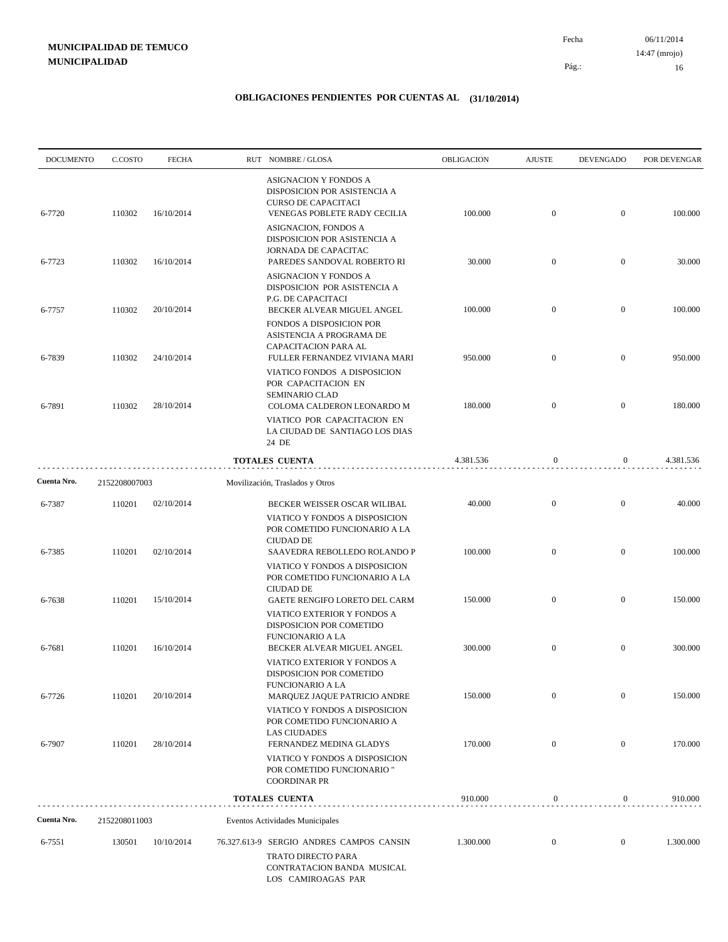| <b>DOCUMENTO</b> | C.COSTO            | <b>FECHA</b> | RUT NOMBRE/GLOSA                                                                                                                     | OBLIGACION | <b>AJUSTE</b>    | <b>DEVENGADO</b> | POR DEVENGAR |
|------------------|--------------------|--------------|--------------------------------------------------------------------------------------------------------------------------------------|------------|------------------|------------------|--------------|
| 6-7720           | 110302             | 16/10/2014   | ASIGNACION Y FONDOS A<br>DISPOSICION POR ASISTENCIA A<br><b>CURSO DE CAPACITACI</b><br>VENEGAS POBLETE RADY CECILIA                  | 100.000    | $\mathbf{0}$     | $\mathbf{0}$     | 100.000      |
|                  |                    |              | ASIGNACION, FONDOS A<br>DISPOSICION POR ASISTENCIA A<br>JORNADA DE CAPACITAC                                                         |            |                  |                  |              |
| 6-7723           | 110302             | 16/10/2014   | PAREDES SANDOVAL ROBERTO RI<br>ASIGNACION Y FONDOS A<br>DISPOSICION POR ASISTENCIA A                                                 | 30.000     | $\mathbf{0}$     | $\boldsymbol{0}$ | 30.000       |
| 6-7757           | 110302             | 20/10/2014   | P.G. DE CAPACITACI<br>BECKER ALVEAR MIGUEL ANGEL<br>FONDOS A DISPOSICION POR<br>ASISTENCIA A PROGRAMA DE<br>CAPACITACION PARA AL     | 100.000    | $\mathbf{0}$     | $\overline{0}$   | 100.000      |
| 6-7839           | 110302             | 24/10/2014   | FULLER FERNANDEZ VIVIANA MARI<br>VIATICO FONDOS A DISPOSICION<br>POR CAPACITACION EN                                                 | 950.000    | $\mathbf{0}$     | $\overline{0}$   | 950.000      |
| 6-7891           | 110302             | 28/10/2014   | <b>SEMINARIO CLAD</b><br>COLOMA CALDERON LEONARDO M<br>VIATICO POR CAPACITACION EN<br>LA CIUDAD DE SANTIAGO LOS DIAS                 | 180.000    | $\mathbf{0}$     | $\overline{0}$   | 180.000      |
|                  |                    |              | 24 DE<br><b>TOTALES CUENTA</b>                                                                                                       | 4.381.536  | $\boldsymbol{0}$ | $\overline{0}$   | 4.381.536    |
| Cuenta Nro.      | .<br>2152208007003 |              | Movilización, Traslados y Otros                                                                                                      |            |                  |                  |              |
| 6-7387           | 110201             | 02/10/2014   | BECKER WEISSER OSCAR WILIBAL                                                                                                         | 40.000     | $\mathbf{0}$     | $\boldsymbol{0}$ | 40.000       |
| 6-7385           | 110201             | 02/10/2014   | VIATICO Y FONDOS A DISPOSICION<br>POR COMETIDO FUNCIONARIO A LA<br><b>CIUDAD DE</b><br>SAAVEDRA REBOLLEDO ROLANDO P                  | 100.000    | $\overline{0}$   | $\overline{0}$   | 100.000      |
|                  |                    |              | VIATICO Y FONDOS A DISPOSICION<br>POR COMETIDO FUNCIONARIO A LA<br><b>CIUDAD DE</b>                                                  |            |                  |                  |              |
| 6-7638           | 110201             | 15/10/2014   | GAETE RENGIFO LORETO DEL CARM<br>VIATICO EXTERIOR Y FONDOS A<br>DISPOSICION POR COMETIDO<br><b>FUNCIONARIO A LA</b>                  | 150.000    | $\mathbf{0}$     | $\mathbf{0}$     | 150.000      |
| 6-7681           | 110201             | 16/10/2014   | BECKER ALVEAR MIGUEL ANGEL<br>VIATICO EXTERIOR Y FONDOS A<br>DISPOSICION POR COMETIDO                                                | 300.000    | $\mathbf{0}$     | $\mathbf{0}$     | 300.000      |
| 6-7726           | 110201             | 20/10/2014   | FUNCIONARIO A LA<br>MARQUEZ JAQUE PATRICIO ANDRE<br>VIATICO Y FONDOS A DISPOSICION<br>POR COMETIDO FUNCIONARIO A                     | 150.000    | $\mathbf{0}$     | $\boldsymbol{0}$ | 150.000      |
| 6-7907           | 110201             | 28/10/2014   | <b>LAS CIUDADES</b><br>FERNANDEZ MEDINA GLADYS<br>VIATICO Y FONDOS A DISPOSICION<br>POR COMETIDO FUNCIONARIO"<br><b>COORDINAR PR</b> | 170.000    | $\boldsymbol{0}$ | $\boldsymbol{0}$ | 170.000      |
|                  |                    |              | <b>TOTALES CUENTA</b>                                                                                                                | 910.000    | $\boldsymbol{0}$ | 0                | 910.000      |
| Cuenta Nro.      | 2152208011003      |              | Eventos Actividades Municipales                                                                                                      |            |                  |                  |              |
| 6-7551           | 130501             | 10/10/2014   | 76.327.613-9 SERGIO ANDRES CAMPOS CANSIN<br>TRATO DIRECTO PARA<br>CONTRATACION BANDA MUSICAL<br>LOS CAMIROAGAS PAR                   | 1.300.000  | $\mathbf{0}$     | $\overline{0}$   | 1.300.000    |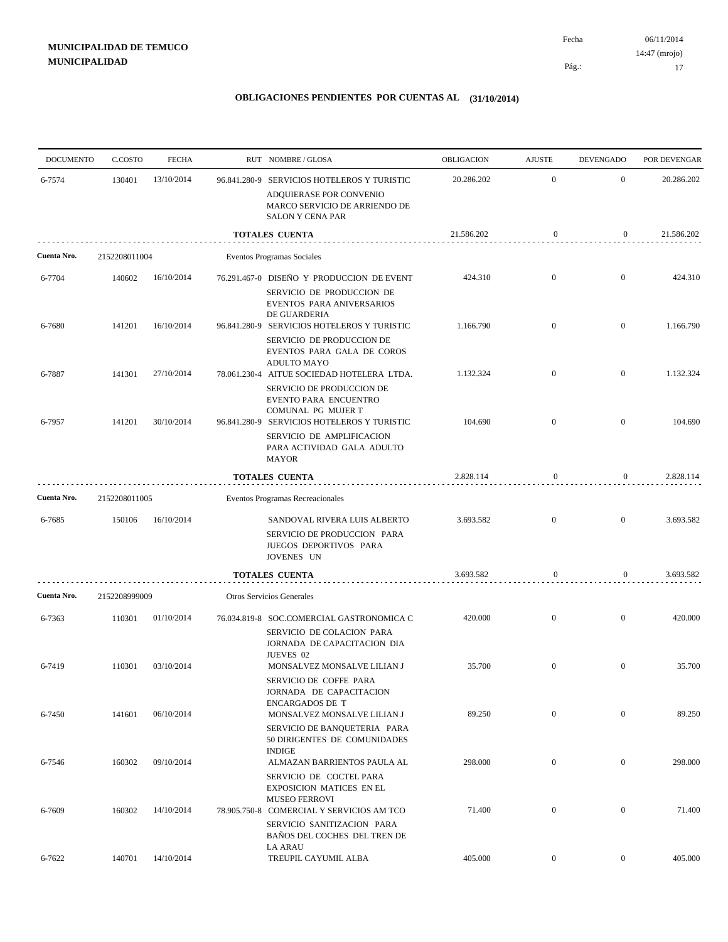| <b>DOCUMENTO</b> | C.COSTO       | <b>FECHA</b> | RUT NOMBRE/GLOSA                                                                                                             | OBLIGACION | <b>AJUSTE</b>    | <b>DEVENGADO</b> | POR DEVENGAR |
|------------------|---------------|--------------|------------------------------------------------------------------------------------------------------------------------------|------------|------------------|------------------|--------------|
| 6-7574           | 130401        | 13/10/2014   | 96.841.280-9 SERVICIOS HOTELEROS Y TURISTIC<br>ADQUIERASE POR CONVENIO                                                       | 20.286.202 | $\mathbf{0}$     | $\mathbf{0}$     | 20.286.202   |
|                  |               |              | MARCO SERVICIO DE ARRIENDO DE<br><b>SALON Y CENA PAR</b>                                                                     |            |                  |                  |              |
|                  |               |              | <b>TOTALES CUENTA</b>                                                                                                        | 21.586.202 | $\mathbf{0}$     | $\boldsymbol{0}$ | 21.586.202   |
| Cuenta Nro.      | 2152208011004 |              | Eventos Programas Sociales                                                                                                   |            |                  |                  |              |
| 6-7704           | 140602        | 16/10/2014   | 76.291.467-0 DISEÑO Y PRODUCCION DE EVENT<br>SERVICIO DE PRODUCCION DE<br>EVENTOS PARA ANIVERSARIOS<br>DE GUARDERIA          | 424.310    | $\boldsymbol{0}$ | $\mathbf{0}$     | 424.310      |
| 6-7680           | 141201        | 16/10/2014   | 96.841.280-9 SERVICIOS HOTELEROS Y TURISTIC<br>SERVICIO DE PRODUCCION DE<br>EVENTOS PARA GALA DE COROS<br><b>ADULTO MAYO</b> | 1.166.790  | $\boldsymbol{0}$ | $\mathbf{0}$     | 1.166.790    |
| 6-7887           | 141301        | 27/10/2014   | 78.061.230-4 AITUE SOCIEDAD HOTELERA LTDA.<br>SERVICIO DE PRODUCCION DE<br>EVENTO PARA ENCUENTRO<br>COMUNAL PG MUJER T       | 1.132.324  | $\mathbf{0}$     | $\mathbf{0}$     | 1.132.324    |
| 6-7957           | 141201        | 30/10/2014   | 96.841.280-9 SERVICIOS HOTELEROS Y TURISTIC<br>SERVICIO DE AMPLIFICACION<br>PARA ACTIVIDAD GALA ADULTO<br><b>MAYOR</b>       | 104.690    | $\boldsymbol{0}$ | $\mathbf{0}$     | 104.690      |
|                  |               |              | <b>TOTALES CUENTA</b>                                                                                                        | 2.828.114  | $\mathbf{0}$     | $\overline{0}$   | 2.828.114    |
| Cuenta Nro.      | 2152208011005 |              | Eventos Programas Recreacionales                                                                                             |            |                  |                  |              |
| 6-7685           | 150106        | 16/10/2014   | SANDOVAL RIVERA LUIS ALBERTO<br>SERVICIO DE PRODUCCION PARA<br>JUEGOS DEPORTIVOS PARA<br>JOVENES UN                          | 3.693.582  | $\boldsymbol{0}$ | $\boldsymbol{0}$ | 3.693.582    |
|                  |               |              | TOTALES CUENTA                                                                                                               | 3.693.582  | $\mathbf{0}$     | $\boldsymbol{0}$ | 3.693.582    |
| Cuenta Nro.      | 2152208999009 |              | Otros Servicios Generales                                                                                                    |            |                  |                  |              |
| 6-7363           | 110301        | 01/10/2014   | 76.034.819-8 SOC.COMERCIAL GASTRONOMICA C<br>SERVICIO DE COLACION PARA<br>JORNADA DE CAPACITACION DIA<br>JUEVES 02           | 420.000    | $\boldsymbol{0}$ | $\boldsymbol{0}$ | 420.000      |
| 6-7419           | 110301        | 03/10/2014   | MONSALVEZ MONSALVE LILIAN J<br>SERVICIO DE COFFE PARA<br>JORNADA DE CAPACITACION<br><b>ENCARGADOS DE T</b>                   | 35.700     | $\overline{0}$   | $\boldsymbol{0}$ | 35.700       |
| 6-7450           | 141601        | 06/10/2014   | MONSALVEZ MONSALVE LILIAN J<br>SERVICIO DE BANQUETERIA PARA<br>50 DIRIGENTES DE COMUNIDADES                                  | 89.250     | $\boldsymbol{0}$ | $\boldsymbol{0}$ | 89.250       |
| 6-7546           | 160302        | 09/10/2014   | <b>INDIGE</b><br>ALMAZAN BARRIENTOS PAULA AL<br>SERVICIO DE COCTEL PARA                                                      | 298.000    | $\boldsymbol{0}$ | $\boldsymbol{0}$ | 298.000      |
| 6-7609           | 160302        | 14/10/2014   | <b>EXPOSICION MATICES EN EL</b><br><b>MUSEO FERROVI</b><br>78.905.750-8 COMERCIAL Y SERVICIOS AM TCO                         | 71.400     | $\boldsymbol{0}$ | $\boldsymbol{0}$ | 71.400       |
|                  |               |              | SERVICIO SANITIZACION PARA<br>BAÑOS DEL COCHES DEL TREN DE<br><b>LA ARAU</b>                                                 |            |                  |                  |              |
| 6-7622           | 140701        | 14/10/2014   | TREUPIL CAYUMIL ALBA                                                                                                         | 405.000    | $\boldsymbol{0}$ | $\boldsymbol{0}$ | 405.000      |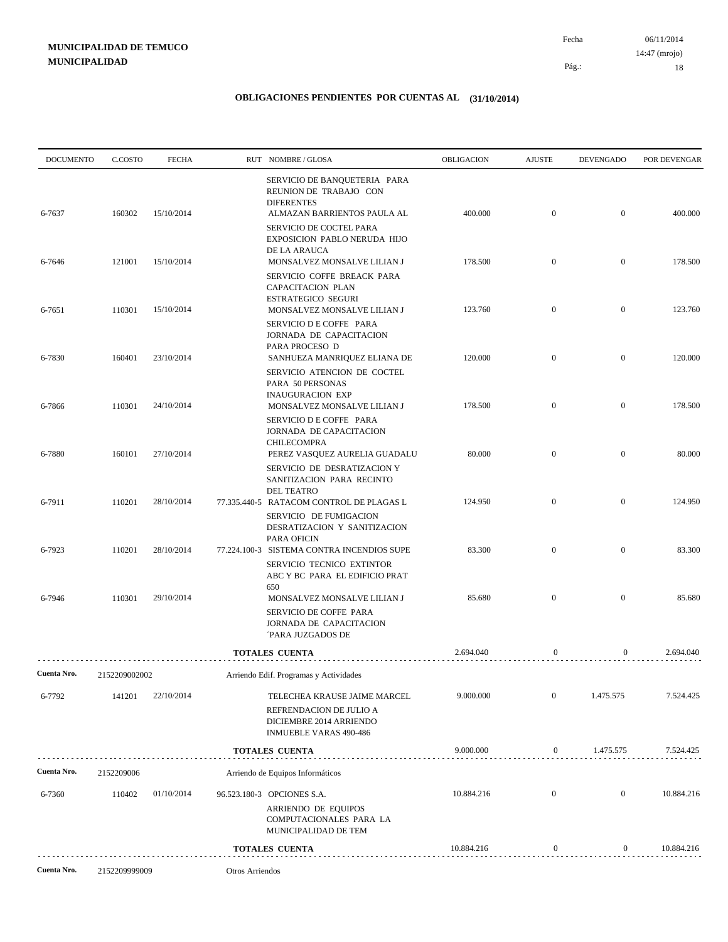06/11/2014 18 Pág.: Fecha 14:47 (mrojo)

| <b>DOCUMENTO</b> | C.COSTO       | <b>FECHA</b> |                 | RUT NOMBRE/GLOSA                                                                                                                | OBLIGACION | <b>AJUSTE</b>    | <b>DEVENGADO</b> | POR DEVENGAR |
|------------------|---------------|--------------|-----------------|---------------------------------------------------------------------------------------------------------------------------------|------------|------------------|------------------|--------------|
| 6-7637           | 160302        | 15/10/2014   |                 | SERVICIO DE BANQUETERIA PARA<br>REUNION DE TRABAJO CON<br><b>DIFERENTES</b><br>ALMAZAN BARRIENTOS PAULA AL                      | 400.000    | $\mathbf{0}$     | $\mathbf{0}$     | 400.000      |
|                  |               |              |                 | SERVICIO DE COCTEL PARA<br>EXPOSICION PABLO NERUDA HIJO<br>DE LA ARAUCA                                                         | 178.500    | $\mathbf{0}$     | $\mathbf{0}$     | 178.500      |
| 6-7646           | 121001        | 15/10/2014   |                 | MONSALVEZ MONSALVE LILIAN J<br>SERVICIO COFFE BREACK PARA<br>CAPACITACION PLAN<br><b>ESTRATEGICO SEGURI</b>                     |            |                  |                  |              |
| 6-7651           | 110301        | 15/10/2014   |                 | MONSALVEZ MONSALVE LILIAN J<br>SERVICIO D E COFFE PARA<br>JORNADA DE CAPACITACION                                               | 123.760    | $\mathbf{0}$     | $\mathbf{0}$     | 123.760      |
| 6-7830           | 160401        | 23/10/2014   |                 | PARA PROCESO D<br>SANHUEZA MANRIQUEZ ELIANA DE<br>SERVICIO ATENCION DE COCTEL                                                   | 120.000    | $\mathbf{0}$     | $\mathbf{0}$     | 120.000      |
| 6-7866           | 110301        | 24/10/2014   |                 | PARA 50 PERSONAS<br><b>INAUGURACION EXP</b><br>MONSALVEZ MONSALVE LILIAN J                                                      | 178.500    | $\mathbf{0}$     | $\mathbf{0}$     | 178.500      |
| 6-7880           | 160101        | 27/10/2014   |                 | SERVICIO D E COFFE PARA<br>JORNADA DE CAPACITACION<br><b>CHILECOMPRA</b><br>PEREZ VASQUEZ AURELIA GUADALU                       | 80.000     | $\mathbf{0}$     | $\mathbf{0}$     | 80.000       |
|                  |               |              |                 | SERVICIO DE DESRATIZACION Y<br>SANITIZACION PARA RECINTO<br><b>DEL TEATRO</b>                                                   |            |                  |                  |              |
| 6-7911           | 110201        | 28/10/2014   |                 | 77.335.440-5 RATACOM CONTROL DE PLAGAS L<br>SERVICIO DE FUMIGACION<br>DESRATIZACION Y SANITIZACION                              | 124.950    | $\mathbf{0}$     | $\mathbf{0}$     | 124.950      |
| 6-7923           | 110201        | 28/10/2014   |                 | <b>PARA OFICIN</b><br>77.224.100-3 SISTEMA CONTRA INCENDIOS SUPE<br>SERVICIO TECNICO EXTINTOR<br>ABC Y BC PARA EL EDIFICIO PRAT | 83.300     | $\mathbf{0}$     | $\mathbf{0}$     | 83.300       |
| 6-7946           | 110301        | 29/10/2014   |                 | 650<br>MONSALVEZ MONSALVE LILIAN J<br>SERVICIO DE COFFE PARA<br>JORNADA DE CAPACITACION<br><b>PARA JUZGADOS DE</b>              | 85.680     | $\mathbf{0}$     | $\mathbf{0}$     | 85.680       |
|                  |               |              |                 | <b>TOTALES CUENTA</b>                                                                                                           | 2.694.040  | $\boldsymbol{0}$ | $\overline{0}$   | 2.694.040    |
| Cuenta Nro.      | 2152209002002 |              |                 | Arriendo Edif. Programas y Actividades                                                                                          |            |                  |                  |              |
| 6-7792           | 141201        | 22/10/2014   |                 | TELECHEA KRAUSE JAIME MARCEL<br>REFRENDACION DE JULIO A<br>DICIEMBRE 2014 ARRIENDO<br><b>INMUEBLE VARAS 490-486</b>             | 9.000.000  | $\mathbf{0}$     | 1.475.575        | 7.524.425    |
|                  |               |              |                 | <b>TOTALES CUENTA</b>                                                                                                           | 9.000.000  | $\boldsymbol{0}$ | 1.475.575        | 7.524.425    |
| Cuenta Nro.      | 2152209006    |              |                 | Arriendo de Equipos Informáticos                                                                                                |            |                  |                  |              |
| 6-7360           | 110402        | 01/10/2014   |                 | 96.523.180-3 OPCIONES S.A.<br>ARRIENDO DE EQUIPOS<br>COMPUTACIONALES PARA LA<br>MUNICIPALIDAD DE TEM                            | 10.884.216 | $\boldsymbol{0}$ | $\mathbf{0}$     | 10.884.216   |
|                  |               |              |                 | <b>TOTALES CUENTA</b>                                                                                                           | 10.884.216 | $\boldsymbol{0}$ | 0                | 10.884.216   |
| Cuenta Nro.      | 2152209999009 |              | Otros Arriendos |                                                                                                                                 |            |                  |                  |              |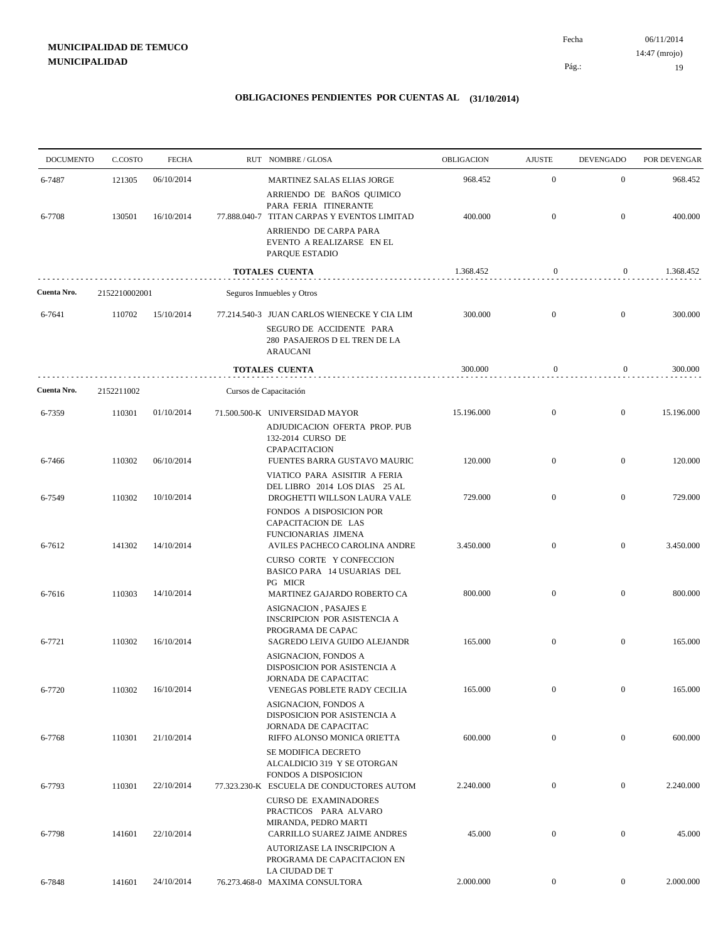06/11/2014 19 Pág.: Fecha 14:47 (mrojo)

| <b>DOCUMENTO</b> | C.COSTO       | <b>FECHA</b> | RUT NOMBRE/GLOSA                                                                                                                              | OBLIGACION | <b>AJUSTE</b>    | <b>DEVENGADO</b> | POR DEVENGAR |
|------------------|---------------|--------------|-----------------------------------------------------------------------------------------------------------------------------------------------|------------|------------------|------------------|--------------|
| 6-7487           | 121305        | 06/10/2014   | <b>MARTINEZ SALAS ELIAS JORGE</b><br>ARRIENDO DE BAÑOS QUIMICO                                                                                | 968.452    | $\mathbf{0}$     | $\mathbf{0}$     | 968.452      |
| 6-7708           | 130501        | 16/10/2014   | PARA FERIA ITINERANTE<br>77.888.040-7 TITAN CARPAS Y EVENTOS LIMITAD<br>ARRIENDO DE CARPA PARA<br>EVENTO A REALIZARSE EN EL<br>PARQUE ESTADIO | 400.000    | $\mathbf{0}$     | $\mathbf{0}$     | 400.000      |
|                  |               |              | <b>TOTALES CUENTA</b>                                                                                                                         | 1.368.452  | $\boldsymbol{0}$ | $\boldsymbol{0}$ | 1.368.452    |
| Cuenta Nro.      | 2152210002001 |              | Seguros Inmuebles y Otros                                                                                                                     |            |                  |                  |              |
| 6-7641           | 110702        | 15/10/2014   | 77.214.540-3 JUAN CARLOS WIENECKE Y CIA LIM                                                                                                   | 300.000    | $\overline{0}$   | $\mathbf{0}$     | 300.000      |
|                  |               |              | SEGURO DE ACCIDENTE PARA<br>280 PASAJEROS D EL TREN DE LA<br><b>ARAUCANI</b>                                                                  |            |                  |                  |              |
|                  |               |              | <b>TOTALES CUENTA</b>                                                                                                                         | 300.000    | $\boldsymbol{0}$ | $\boldsymbol{0}$ | 300.000      |
| Cuenta Nro.      | 2152211002    |              | Cursos de Capacitación                                                                                                                        |            |                  |                  |              |
| 6-7359           | 110301        | 01/10/2014   | 71.500.500-K UNIVERSIDAD MAYOR<br>ADJUDICACION OFERTA PROP. PUB<br>132-2014 CURSO DE<br>CPAPACITACION                                         | 15.196.000 | $\mathbf{0}$     | $\mathbf{0}$     | 15.196.000   |
| 6-7466           | 110302        | 06/10/2014   | FUENTES BARRA GUSTAVO MAURIC<br>VIATICO PARA ASISITIR A FERIA                                                                                 | 120.000    | $\mathbf{0}$     | $\mathbf{0}$     | 120.000      |
| 6-7549           | 110302        | 10/10/2014   | DEL LIBRO 2014 LOS DIAS 25 AL<br>DROGHETTI WILLSON LAURA VALE                                                                                 | 729.000    | $\overline{0}$   | $\overline{0}$   | 729.000      |
| 6-7612           | 141302        | 14/10/2014   | FONDOS A DISPOSICION POR<br>CAPACITACION DE LAS<br>FUNCIONARIAS JIMENA<br>AVILES PACHECO CAROLINA ANDRE                                       | 3.450.000  | $\mathbf{0}$     | $\mathbf{0}$     | 3.450.000    |
| 6-7616           | 110303        | 14/10/2014   | CURSO CORTE Y CONFECCION<br>BASICO PARA 14 USUARIAS DEL<br>PG MICR<br>MARTINEZ GAJARDO ROBERTO CA                                             | 800.000    | $\overline{0}$   | $\mathbf{0}$     | 800.000      |
| 6-7721           | 110302        | 16/10/2014   | <b>ASIGNACION, PASAJES E</b><br>INSCRIPCION POR ASISTENCIA A<br>PROGRAMA DE CAPAC<br>SAGREDO LEIVA GUIDO ALEJANDR                             | 165.000    | $\mathbf{0}$     | $\mathbf{0}$     | 165.000      |
| 6-7720           | 110302        | 16/10/2014   | ASIGNACION, FONDOS A<br>DISPOSICION POR ASISTENCIA A<br><b>JORNADA DE CAPACITAC</b><br>VENEGAS POBLETE RADY CECILIA                           | 165.000    | $\mathbf{0}$     | $\overline{0}$   | 165.000      |
| 6-7768           | 110301        | 21/10/2014   | ASIGNACION, FONDOS A<br>DISPOSICION POR ASISTENCIA A<br>JORNADA DE CAPACITAC<br>RIFFO ALONSO MONICA 0RIETTA                                   | 600.000    | $\boldsymbol{0}$ | $\overline{0}$   | 600.000      |
| 6-7793           | 110301        | 22/10/2014   | SE MODIFICA DECRETO<br>ALCALDICIO 319 Y SE OTORGAN<br>FONDOS A DISPOSICION<br>77.323.230-K ESCUELA DE CONDUCTORES AUTOM                       | 2.240.000  | $\mathbf{0}$     | $\mathbf{0}$     | 2.240.000    |
| 6-7798           | 141601        | 22/10/2014   | <b>CURSO DE EXAMINADORES</b><br>PRACTICOS PARA ALVARO<br>MIRANDA, PEDRO MARTI<br>CARRILLO SUAREZ JAIME ANDRES                                 | 45.000     | $\boldsymbol{0}$ | $\mathbf{0}$     | 45.000       |
|                  |               |              | AUTORIZASE LA INSCRIPCION A<br>PROGRAMA DE CAPACITACION EN<br>LA CIUDAD DE T                                                                  |            |                  |                  |              |
| 6-7848           | 141601        | 24/10/2014   | 76.273.468-0 MAXIMA CONSULTORA                                                                                                                | 2.000.000  | $\boldsymbol{0}$ | $\overline{0}$   | 2.000.000    |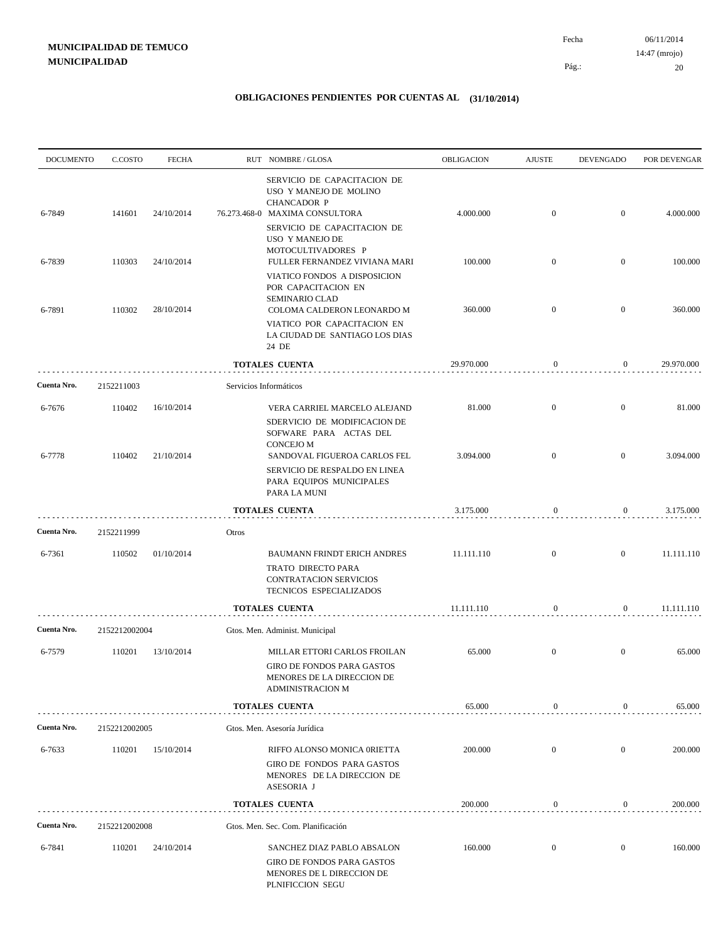| <b>DOCUMENTO</b> | C.COSTO       | <b>FECHA</b> |       | RUT NOMBRE/GLOSA                                                                                              | OBLIGACION | <b>AJUSTE</b>    | <b>DEVENGADO</b> | POR DEVENGAR |
|------------------|---------------|--------------|-------|---------------------------------------------------------------------------------------------------------------|------------|------------------|------------------|--------------|
| 6-7849           | 141601        | 24/10/2014   |       | SERVICIO DE CAPACITACION DE<br>USO Y MANEJO DE MOLINO<br><b>CHANCADOR P</b><br>76.273.468-0 MAXIMA CONSULTORA | 4.000.000  | $\mathbf{0}$     | $\overline{0}$   | 4.000.000    |
|                  |               |              |       | SERVICIO DE CAPACITACION DE<br>USO Y MANEJO DE<br>MOTOCULTIVADORES P                                          |            |                  |                  |              |
| 6-7839           | 110303        | 24/10/2014   |       | FULLER FERNANDEZ VIVIANA MARI                                                                                 | 100.000    | $\mathbf{0}$     | $\mathbf{0}$     | 100.000      |
| 6-7891           | 110302        | 28/10/2014   |       | VIATICO FONDOS A DISPOSICION<br>POR CAPACITACION EN<br>SEMINARIO CLAD<br>COLOMA CALDERON LEONARDO M           | 360.000    | $\overline{0}$   | $\overline{0}$   | 360.000      |
|                  |               |              |       | VIATICO POR CAPACITACION EN<br>LA CIUDAD DE SANTIAGO LOS DIAS<br>24 DE                                        |            |                  |                  |              |
|                  |               |              |       | TOTALES CUENTA                                                                                                | 29.970.000 | $\boldsymbol{0}$ | $\boldsymbol{0}$ | 29.970.000   |
| Cuenta Nro.      | 2152211003    |              |       | Servicios Informáticos                                                                                        |            |                  |                  |              |
| 6-7676           | 110402        | 16/10/2014   |       | VERA CARRIEL MARCELO ALEJAND                                                                                  | 81.000     | $\mathbf{0}$     | $\overline{0}$   | 81.000       |
| 6-7778           | 110402        | 21/10/2014   |       | SDERVICIO DE MODIFICACION DE<br>SOFWARE PARA ACTAS DEL<br><b>CONCEJO M</b><br>SANDOVAL FIGUEROA CARLOS FEL    | 3.094.000  | $\overline{0}$   | $\mathbf{0}$     | 3.094.000    |
|                  |               |              |       | SERVICIO DE RESPALDO EN LINEA<br>PARA EQUIPOS MUNICIPALES<br>PARA LA MUNI                                     |            |                  |                  |              |
|                  |               |              |       | <b>TOTALES CUENTA</b>                                                                                         | 3.175.000  | $\boldsymbol{0}$ | $\overline{0}$   | 3.175.000    |
| Cuenta Nro.      | 2152211999    |              | Otros |                                                                                                               |            |                  |                  |              |
| 6-7361           | 110502        | 01/10/2014   |       | <b>BAUMANN FRINDT ERICH ANDRES</b>                                                                            | 11.111.110 | $\overline{0}$   | $\overline{0}$   | 11.111.110   |
|                  |               |              |       | TRATO DIRECTO PARA<br>CONTRATACION SERVICIOS<br>TECNICOS ESPECIALIZADOS                                       |            |                  |                  |              |
|                  |               |              |       | <b>TOTALES CUENTA</b>                                                                                         | 11.111.110 | $\boldsymbol{0}$ | $\mathbf{0}$     | 11.111.110   |
| Cuenta Nro.      | 2152212002004 |              |       | Gtos. Men. Administ. Municipal                                                                                |            |                  |                  |              |
| 6-7579           | 110201        | 13/10/2014   |       | MILLAR ETTORI CARLOS FROILAN<br>GIRO DE FONDOS PARA GASTOS<br>MENORES DE LA DIRECCION DE<br>ADMINISTRACION M  | 65.000     | $\mathbf{0}$     | $\mathbf{0}$     | 65.000       |
|                  |               |              |       | <b>TOTALES CUENTA</b>                                                                                         | 65.000     | $\boldsymbol{0}$ | 0                | 65.000       |
| Cuenta Nro.      | 2152212002005 |              |       | Gtos. Men. Asesoría Jurídica                                                                                  |            |                  |                  |              |
| 6-7633           | 110201        | 15/10/2014   |       | RIFFO ALONSO MONICA 0RIETTA                                                                                   | 200.000    | $\mathbf{0}$     | $\mathbf{0}$     | 200.000      |
|                  |               |              |       | GIRO DE FONDOS PARA GASTOS<br>MENORES DE LA DIRECCION DE<br>ASESORIA J                                        |            |                  |                  |              |
|                  |               |              |       | TOTALES CUENTA                                                                                                | 200.000    | $\boldsymbol{0}$ | $\overline{0}$   | 200.000      |
| Cuenta Nro.      | 2152212002008 |              |       | Gtos. Men. Sec. Com. Planificación                                                                            |            |                  |                  |              |
| 6-7841           | 110201        | 24/10/2014   |       | SANCHEZ DIAZ PABLO ABSALON<br>GIRO DE FONDOS PARA GASTOS<br>MENORES DE L DIRECCION DE<br>PLNIFICCION SEGU     | 160.000    | $\boldsymbol{0}$ | $\mathbf{0}$     | 160.000      |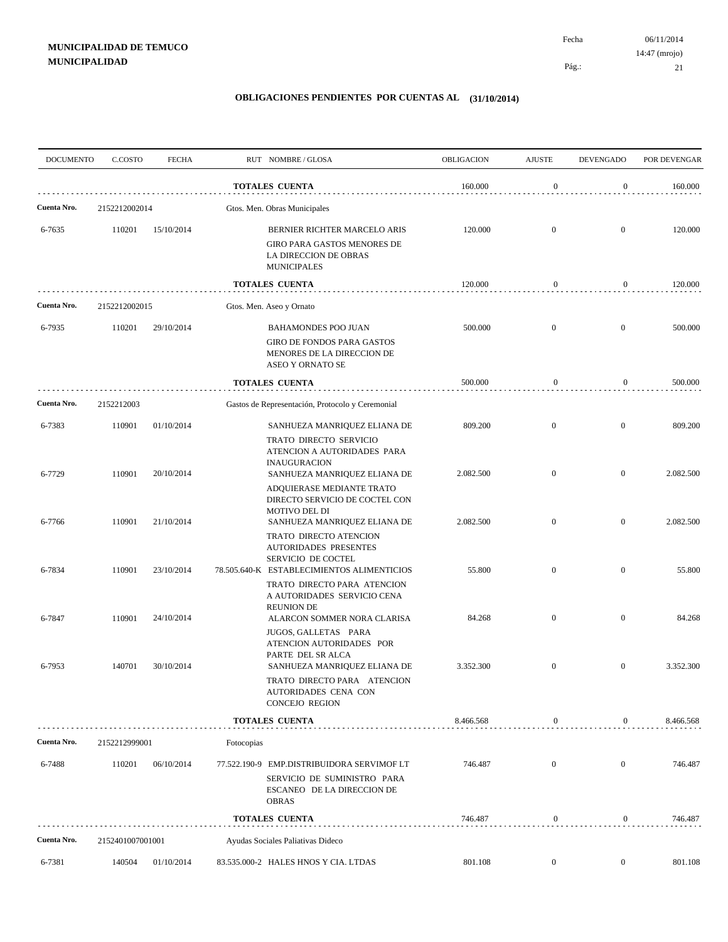| <b>DOCUMENTO</b> | C.COSTO          | <b>FECHA</b> |            | RUT NOMBRE/GLOSA                                                                                                                    | <b>OBLIGACION</b> | <b>AJUSTE</b>    | <b>DEVENGADO</b> | POR DEVENGAR |
|------------------|------------------|--------------|------------|-------------------------------------------------------------------------------------------------------------------------------------|-------------------|------------------|------------------|--------------|
|                  |                  |              |            | <b>TOTALES CUENTA</b>                                                                                                               | 160.000           | $\boldsymbol{0}$ | $\overline{0}$   | 160.000      |
| Cuenta Nro.      | 2152212002014    |              |            | Gtos. Men. Obras Municipales                                                                                                        |                   |                  |                  |              |
| 6-7635           | 110201           | 15/10/2014   |            | BERNIER RICHTER MARCELO ARIS<br>GIRO PARA GASTOS MENORES DE<br>LA DIRECCION DE OBRAS<br><b>MUNICIPALES</b>                          | 120.000           | $\mathbf{0}$     | $\overline{0}$   | 120.000      |
|                  |                  |              |            | <b>TOTALES CUENTA</b>                                                                                                               | 120.000           | $\boldsymbol{0}$ | $\overline{0}$   | 120.000      |
| Cuenta Nro.      | 2152212002015    |              |            | Gtos. Men. Aseo y Ornato                                                                                                            |                   |                  |                  |              |
| 6-7935           | 110201           | 29/10/2014   |            | <b>BAHAMONDES POO JUAN</b>                                                                                                          | 500.000           | $\mathbf{0}$     | $\overline{0}$   | 500.000      |
|                  |                  |              |            | <b>GIRO DE FONDOS PARA GASTOS</b><br>MENORES DE LA DIRECCION DE<br>ASEO Y ORNATO SE                                                 |                   |                  |                  |              |
|                  |                  |              |            | <b>TOTALES CUENTA</b>                                                                                                               | 500.000           | $\boldsymbol{0}$ | $\overline{0}$   | 500.000      |
| Cuenta Nro.      | 2152212003       |              |            | Gastos de Representación, Protocolo y Ceremonial                                                                                    |                   |                  |                  |              |
| 6-7383           | 110901           | 01/10/2014   |            | SANHUEZA MANRIQUEZ ELIANA DE<br>TRATO DIRECTO SERVICIO<br>ATENCION A AUTORIDADES PARA                                               | 809.200           | $\mathbf{0}$     | $\overline{0}$   | 809.200      |
| 6-7729           | 110901           | 20/10/2014   |            | <b>INAUGURACION</b><br>SANHUEZA MANRIQUEZ ELIANA DE<br>ADQUIERASE MEDIANTE TRATO<br>DIRECTO SERVICIO DE COCTEL CON<br>MOTIVO DEL DI | 2.082.500         | $\mathbf{0}$     | $\overline{0}$   | 2.082.500    |
| 6-7766           | 110901           | 21/10/2014   |            | SANHUEZA MANRIQUEZ ELIANA DE<br>TRATO DIRECTO ATENCION<br><b>AUTORIDADES PRESENTES</b>                                              | 2.082.500         | $\mathbf{0}$     | $\overline{0}$   | 2.082.500    |
| 6-7834           | 110901           | 23/10/2014   |            | SERVICIO DE COCTEL<br>78.505.640-K ESTABLECIMIENTOS ALIMENTICIOS<br>TRATO DIRECTO PARA ATENCION                                     | 55.800            | $\mathbf{0}$     | $\boldsymbol{0}$ | 55.800       |
| 6-7847           | 110901           | 24/10/2014   |            | A AUTORIDADES SERVICIO CENA<br><b>REUNION DE</b><br>ALARCON SOMMER NORA CLARISA<br>JUGOS, GALLETAS PARA<br>ATENCION AUTORIDADES POR | 84.268            | $\mathbf{0}$     | $\overline{0}$   | 84.268       |
| 6-7953           | 140701           | 30/10/2014   |            | PARTE DEL SR ALCA<br>SANHUEZA MANRIQUEZ ELIANA DE<br>TRATO DIRECTO PARA ATENCION<br>AUTORIDADES CENA CON<br><b>CONCEJO REGION</b>   | 3.352.300         | $\mathbf{0}$     | $\mathbf{0}$     | 3.352.300    |
|                  |                  |              |            | <b>TOTALES CUENTA</b>                                                                                                               | 8.466.568         | $\boldsymbol{0}$ | $\overline{0}$   | 8.466.568    |
| Cuenta Nro.      | 2152212999001    |              | Fotocopias |                                                                                                                                     |                   |                  |                  |              |
| 6-7488           | 110201           | 06/10/2014   |            | 77.522.190-9 EMP.DISTRIBUIDORA SERVIMOF LT<br>SERVICIO DE SUMINISTRO PARA<br>ESCANEO DE LA DIRECCION DE<br><b>OBRAS</b>             | 746.487           | $\mathbf{0}$     | $\boldsymbol{0}$ | 746.487      |
|                  |                  |              |            | <b>TOTALES CUENTA</b>                                                                                                               | 746.487           | $\bf{0}$         | $\overline{0}$   | 746.487      |
| Cuenta Nro.      | 2152401007001001 |              |            | Ayudas Sociales Paliativas Dideco                                                                                                   |                   |                  |                  |              |
| 6-7381           | 140504           | 01/10/2014   |            | 83.535.000-2 HALES HNOS Y CIA. LTDAS                                                                                                | 801.108           | $\overline{0}$   | $\boldsymbol{0}$ | 801.108      |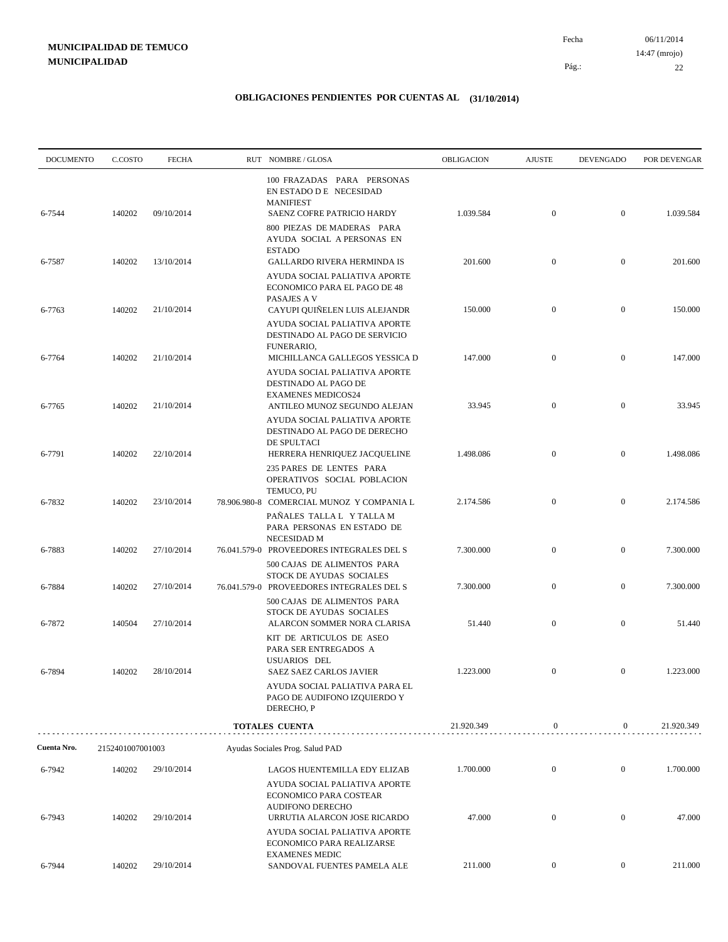06/11/2014 22 Pág.: Fecha 14:47 (mrojo)

| <b>DOCUMENTO</b> | C.COSTO          | <b>FECHA</b> | RUT NOMBRE/GLOSA                                                                                                                                                                                   | OBLIGACION | <b>AJUSTE</b>    | <b>DEVENGADO</b> | POR DEVENGAR |
|------------------|------------------|--------------|----------------------------------------------------------------------------------------------------------------------------------------------------------------------------------------------------|------------|------------------|------------------|--------------|
| 6-7544           | 140202           | 09/10/2014   | 100 FRAZADAS PARA PERSONAS<br>EN ESTADO D E NECESIDAD<br><b>MANIFIEST</b><br>SAENZ COFRE PATRICIO HARDY<br>800 PIEZAS DE MADERAS PARA<br>AYUDA SOCIAL A PERSONAS EN                                | 1.039.584  | $\mathbf{0}$     | $\overline{0}$   | 1.039.584    |
| 6-7587           | 140202           | 13/10/2014   | <b>ESTADO</b><br><b>GALLARDO RIVERA HERMINDA IS</b>                                                                                                                                                | 201.600    | $\mathbf{0}$     | $\mathbf{0}$     | 201.600      |
| 6-7763           | 140202           | 21/10/2014   | AYUDA SOCIAL PALIATIVA APORTE<br>ECONOMICO PARA EL PAGO DE 48<br>PASAJES A V<br>CAYUPI QUIÑELEN LUIS ALEJANDR<br>AYUDA SOCIAL PALIATIVA APORTE<br>DESTINADO AL PAGO DE SERVICIO                    | 150.000    | $\mathbf{0}$     | $\mathbf{0}$     | 150.000      |
| 6-7764           | 140202           | 21/10/2014   | FUNERARIO,<br>MICHILLANCA GALLEGOS YESSICA D                                                                                                                                                       | 147.000    | $\mathbf{0}$     | $\mathbf{0}$     | 147.000      |
| 6-7765           | 140202           | 21/10/2014   | AYUDA SOCIAL PALIATIVA APORTE<br>DESTINADO AL PAGO DE<br><b>EXAMENES MEDICOS24</b><br>ANTILEO MUNOZ SEGUNDO ALEJAN<br>AYUDA SOCIAL PALIATIVA APORTE<br>DESTINADO AL PAGO DE DERECHO<br>DE SPULTACI | 33.945     | $\mathbf{0}$     | $\boldsymbol{0}$ | 33.945       |
| 6-7791           | 140202           | 22/10/2014   | HERRERA HENRIQUEZ JACQUELINE<br>235 PARES DE LENTES PARA<br>OPERATIVOS SOCIAL POBLACION                                                                                                            | 1.498.086  | $\mathbf{0}$     | $\boldsymbol{0}$ | 1.498.086    |
| 6-7832           | 140202           | 23/10/2014   | TEMUCO, PU<br>78.906.980-8 COMERCIAL MUNOZ Y COMPANIA L<br>PAÑALES TALLA L Y TALLA M<br>PARA PERSONAS EN ESTADO DE                                                                                 | 2.174.586  | $\mathbf{0}$     | $\boldsymbol{0}$ | 2.174.586    |
| 6-7883           | 140202           | 27/10/2014   | NECESIDAD M<br>76.041.579-0 PROVEEDORES INTEGRALES DEL S<br>500 CAJAS DE ALIMENTOS PARA                                                                                                            | 7.300.000  | $\mathbf{0}$     | $\mathbf{0}$     | 7.300.000    |
| 6-7884           | 140202           | 27/10/2014   | STOCK DE AYUDAS SOCIALES<br>76.041.579-0 PROVEEDORES INTEGRALES DEL S<br>500 CAJAS DE ALIMENTOS PARA                                                                                               | 7.300.000  | $\mathbf{0}$     | $\mathbf{0}$     | 7.300.000    |
| 6-7872           | 140504           | 27/10/2014   | STOCK DE AYUDAS SOCIALES<br>ALARCON SOMMER NORA CLARISA<br>KIT DE ARTICULOS DE ASEO<br>PARA SER ENTREGADOS A                                                                                       | 51.440     | $\mathbf{0}$     | $\boldsymbol{0}$ | 51.440       |
| 6-7894           | 140202           | 28/10/2014   | USUARIOS DEL<br><b>SAEZ SAEZ CARLOS JAVIER</b><br>AYUDA SOCIAL PALIATIVA PARA EL<br>PAGO DE AUDIFONO IZQUIERDO Y<br>DERECHO, P                                                                     | 1.223.000  | $\boldsymbol{0}$ | $\mathbf{0}$     | 1.223.000    |
|                  |                  |              | <b>TOTALES CUENTA</b>                                                                                                                                                                              | 21.920.349 | $\boldsymbol{0}$ | $\overline{0}$   | 21.920.349   |
| Cuenta Nro.      | 2152401007001003 |              | Ayudas Sociales Prog. Salud PAD                                                                                                                                                                    |            |                  |                  |              |
| 6-7942           | 140202           | 29/10/2014   | LAGOS HUENTEMILLA EDY ELIZAB<br>AYUDA SOCIAL PALIATIVA APORTE<br>ECONOMICO PARA COSTEAR<br>AUDIFONO DERECHO                                                                                        | 1.700.000  | $\mathbf{0}$     | $\mathbf{0}$     | 1.700.000    |
| 6-7943           | 140202           | 29/10/2014   | URRUTIA ALARCON JOSE RICARDO<br>AYUDA SOCIAL PALIATIVA APORTE<br>ECONOMICO PARA REALIZARSE<br><b>EXAMENES MEDIC</b>                                                                                | 47.000     | $\mathbf{0}$     | $\boldsymbol{0}$ | 47.000       |
| 6-7944           | 140202           | 29/10/2014   | SANDOVAL FUENTES PAMELA ALE                                                                                                                                                                        | 211.000    | $\boldsymbol{0}$ | $\overline{0}$   | 211.000      |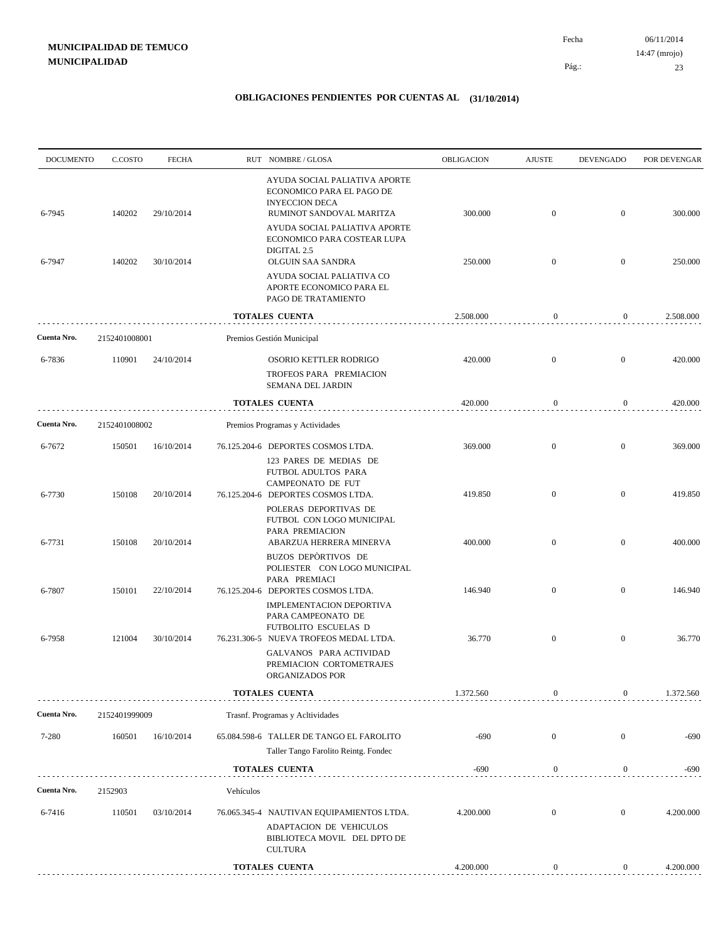| <b>DOCUMENTO</b> | C.COSTO          | <b>FECHA</b>             |           | RUT NOMBRE/GLOSA                                                                                                                                                                               | OBLIGACION         | <b>AJUSTE</b>                | <b>DEVENGADO</b>             | POR DEVENGAR       |
|------------------|------------------|--------------------------|-----------|------------------------------------------------------------------------------------------------------------------------------------------------------------------------------------------------|--------------------|------------------------------|------------------------------|--------------------|
| 6-7945           | 140202           | 29/10/2014               |           | AYUDA SOCIAL PALIATIVA APORTE<br>ECONOMICO PARA EL PAGO DE<br><b>INYECCION DECA</b><br>RUMINOT SANDOVAL MARITZA<br>AYUDA SOCIAL PALIATIVA APORTE<br>ECONOMICO PARA COSTEAR LUPA<br>DIGITAL 2.5 | 300.000            | $\mathbf{0}$                 | $\mathbf{0}$                 | 300.000            |
| 6-7947           | 140202           | 30/10/2014               |           | OLGUIN SAA SANDRA<br>AYUDA SOCIAL PALIATIVA CO<br>APORTE ECONOMICO PARA EL<br>PAGO DE TRATAMIENTO                                                                                              | 250.000            | $\mathbf{0}$                 | $\mathbf{0}$                 | 250.000            |
|                  |                  |                          |           | <b>TOTALES CUENTA</b>                                                                                                                                                                          | 2.508.000          | $\boldsymbol{0}$             | 0                            | 2.508.000          |
| Cuenta Nro.      | 2152401008001    |                          |           | Premios Gestión Municipal                                                                                                                                                                      |                    |                              |                              |                    |
| 6-7836           | 110901           | 24/10/2014               |           | OSORIO KETTLER RODRIGO<br>TROFEOS PARA PREMIACION<br>SEMANA DEL JARDIN                                                                                                                         | 420.000            | $\mathbf{0}$                 | $\mathbf{0}$                 | 420.000            |
|                  |                  |                          |           | <b>TOTALES CUENTA</b>                                                                                                                                                                          | 420.000            | $\boldsymbol{0}$             | $\boldsymbol{0}$             | 420.000            |
| Cuenta Nro.      | 2152401008002    |                          |           | Premios Programas y Actividades                                                                                                                                                                |                    |                              |                              |                    |
| 6-7672           | 150501           | 16/10/2014               |           | 76.125.204-6 DEPORTES COSMOS LTDA.<br>123 PARES DE MEDIAS DE<br>FUTBOL ADULTOS PARA<br><b>CAMPEONATO DE FUT</b>                                                                                | 369.000            | $\mathbf{0}$                 | $\mathbf{0}$                 | 369.000            |
| 6-7730           | 150108           | 20/10/2014               |           | 76.125.204-6 DEPORTES COSMOS LTDA.<br>POLERAS DEPORTIVAS DE<br>FUTBOL CON LOGO MUNICIPAL<br>PARA PREMIACION                                                                                    | 419.850            | $\mathbf{0}$                 | $\mathbf{0}$                 | 419.850            |
| 6-7731<br>6-7807 | 150108<br>150101 | 20/10/2014<br>22/10/2014 |           | ABARZUA HERRERA MINERVA<br>BUZOS DEPÒRTIVOS DE<br>POLIESTER CON LOGO MUNICIPAL<br>PARA PREMIACI<br>76.125.204-6 DEPORTES COSMOS LTDA.                                                          | 400.000<br>146.940 | $\mathbf{0}$<br>$\mathbf{0}$ | $\mathbf{0}$<br>$\mathbf{0}$ | 400.000<br>146.940 |
| 6-7958           | 121004           | 30/10/2014               |           | IMPLEMENTACION DEPORTIVA<br>PARA CAMPEONATO DE<br>FUTBOLITO ESCUELAS D<br>76.231.306-5 NUEVA TROFEOS MEDAL LTDA.                                                                               | 36.770             | $\mathbf{0}$                 | $\mathbf{0}$                 | 36.770             |
|                  |                  |                          |           | GALVANOS PARA ACTIVIDAD<br>PREMIACION CORTOMETRAJES<br>ORGANIZADOS POR                                                                                                                         |                    |                              |                              |                    |
|                  |                  |                          |           | <b>TOTALES CUENTA</b>                                                                                                                                                                          | 1.372.560          | $\theta$                     | $\mathbf{0}$                 | 1.372.560          |
| Cuenta Nro.      | 2152401999009    |                          |           | Trasnf. Programas y Acltividades                                                                                                                                                               |                    |                              |                              |                    |
| 7-280            | 160501           | 16/10/2014               |           | 65.084.598-6 TALLER DE TANGO EL FAROLITO<br>Taller Tango Farolito Reintg. Fondec                                                                                                               | $-690$             | $\mathbf{0}$                 | $\mathbf{0}$                 | $-690$             |
|                  |                  |                          |           | TOTALES CUENTA                                                                                                                                                                                 | $-690$             | $\boldsymbol{0}$             | 0                            | $-690$             |
| Cuenta Nro.      | 2152903          |                          | Vehículos |                                                                                                                                                                                                |                    |                              |                              |                    |
| 6-7416           | 110501           | 03/10/2014               |           | 76.065.345-4 NAUTIVAN EQUIPAMIENTOS LTDA.<br>ADAPTACION DE VEHICULOS<br>BIBLIOTECA MOVIL DEL DPTO DE<br>CULTURA                                                                                | 4.200.000          | $\boldsymbol{0}$             | $\overline{0}$               | 4.200.000          |
|                  |                  |                          |           | <b>TOTALES CUENTA</b>                                                                                                                                                                          | 4.200.000          | $\boldsymbol{0}$             | $\boldsymbol{0}$             | 4.200.000          |